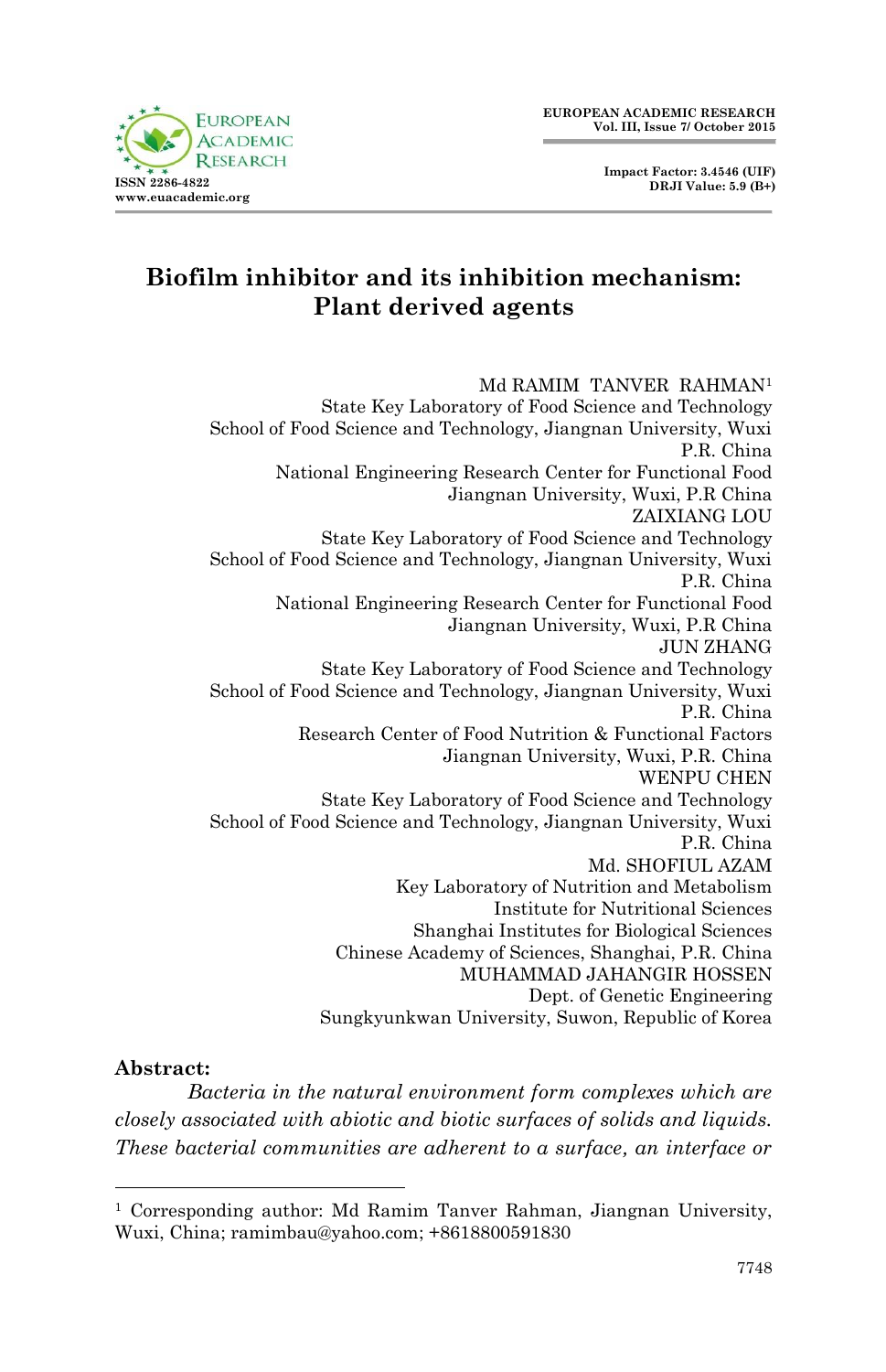

# **Biofilm inhibitor and its inhibition mechanism: Plant derived agents**

Md RAMIM TANVER RAHMAN<sup>1</sup> State Key Laboratory of Food Science and Technology School of Food Science and Technology, Jiangnan University, Wuxi P.R. China National Engineering Research Center for Functional Food Jiangnan University, Wuxi, P.R China ZAIXIANG LOU State Key Laboratory of Food Science and Technology School of Food Science and Technology, Jiangnan University, Wuxi P.R. China National Engineering Research Center for Functional Food Jiangnan University, Wuxi, P.R China JUN ZHANG State Key Laboratory of Food Science and Technology School of Food Science and Technology, Jiangnan University, Wuxi P.R. China Research Center of Food Nutrition & Functional Factors Jiangnan University, Wuxi, P.R. China WENPU CHEN State Key Laboratory of Food Science and Technology School of Food Science and Technology, Jiangnan University, Wuxi P.R. China Md. SHOFIUL AZAM Key Laboratory of Nutrition and Metabolism Institute for Nutritional Sciences Shanghai Institutes for Biological Sciences Chinese Academy of Sciences, Shanghai, P.R. China MUHAMMAD JAHANGIR HOSSEN Dept. of Genetic Engineering Sungkyunkwan University, Suwon, Republic of Korea

### **Abstract:**

1

*Bacteria in the natural environment form complexes which are closely associated with abiotic and biotic surfaces of solids and liquids. These bacterial communities are adherent to a surface, an interface or* 

<sup>&</sup>lt;sup>1</sup> Corresponding author: Md Ramim Tanver Rahman, Jiangnan University, Wuxi, China; ramimbau@yahoo.com; +8618800591830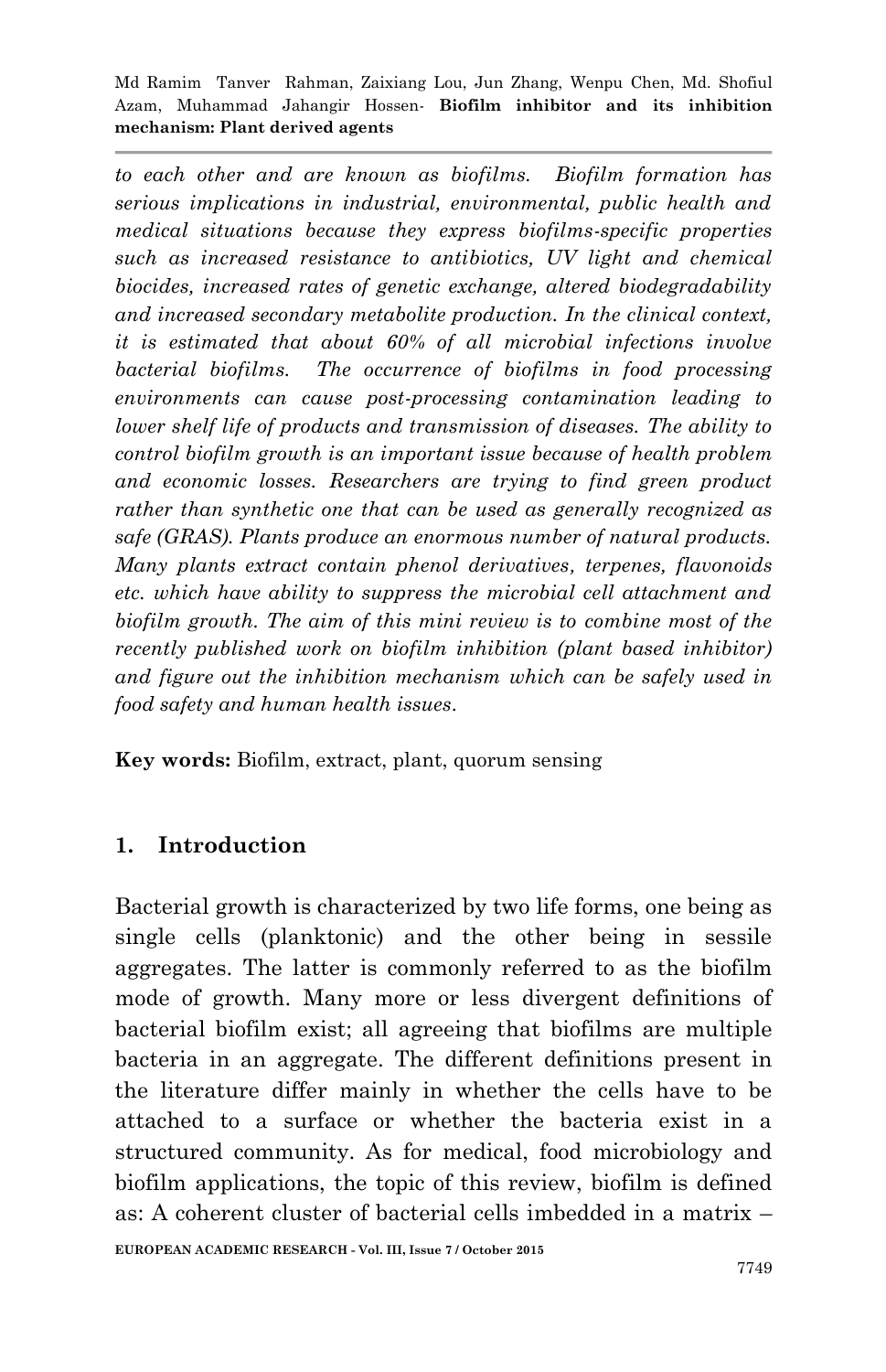*to each other and are known as biofilms. Biofilm formation has serious implications in industrial, environmental, public health and medical situations because they express biofilms-specific properties such as increased resistance to antibiotics, UV light and chemical biocides, increased rates of genetic exchange, altered biodegradability and increased secondary metabolite production. In the clinical context, it is estimated that about 60% of all microbial infections involve bacterial biofilms. The occurrence of biofilms in food processing environments can cause post-processing contamination leading to lower shelf life of products and transmission of diseases. The ability to control biofilm growth is an important issue because of health problem and economic losses. Researchers are trying to find green product rather than synthetic one that can be used as generally recognized as safe (GRAS). Plants produce an enormous number of natural products. Many plants extract contain phenol derivatives, terpenes, flavonoids etc. which have ability to suppress the microbial cell attachment and biofilm growth. The aim of this mini review is to combine most of the recently published work on biofilm inhibition (plant based inhibitor) and figure out the inhibition mechanism which can be safely used in food safety and human health issues.* 

**Key words:** Biofilm, extract, plant, quorum sensing

## **1. Introduction**

Bacterial growth is characterized by two life forms, one being as single cells (planktonic) and the other being in sessile aggregates. The latter is commonly referred to as the biofilm mode of growth. Many more or less divergent definitions of bacterial biofilm exist; all agreeing that biofilms are multiple bacteria in an aggregate. The different definitions present in the literature differ mainly in whether the cells have to be attached to a surface or whether the bacteria exist in a structured community. As for medical, food microbiology and biofilm applications, the topic of this review, biofilm is defined as: A coherent cluster of bacterial cells imbedded in a matrix –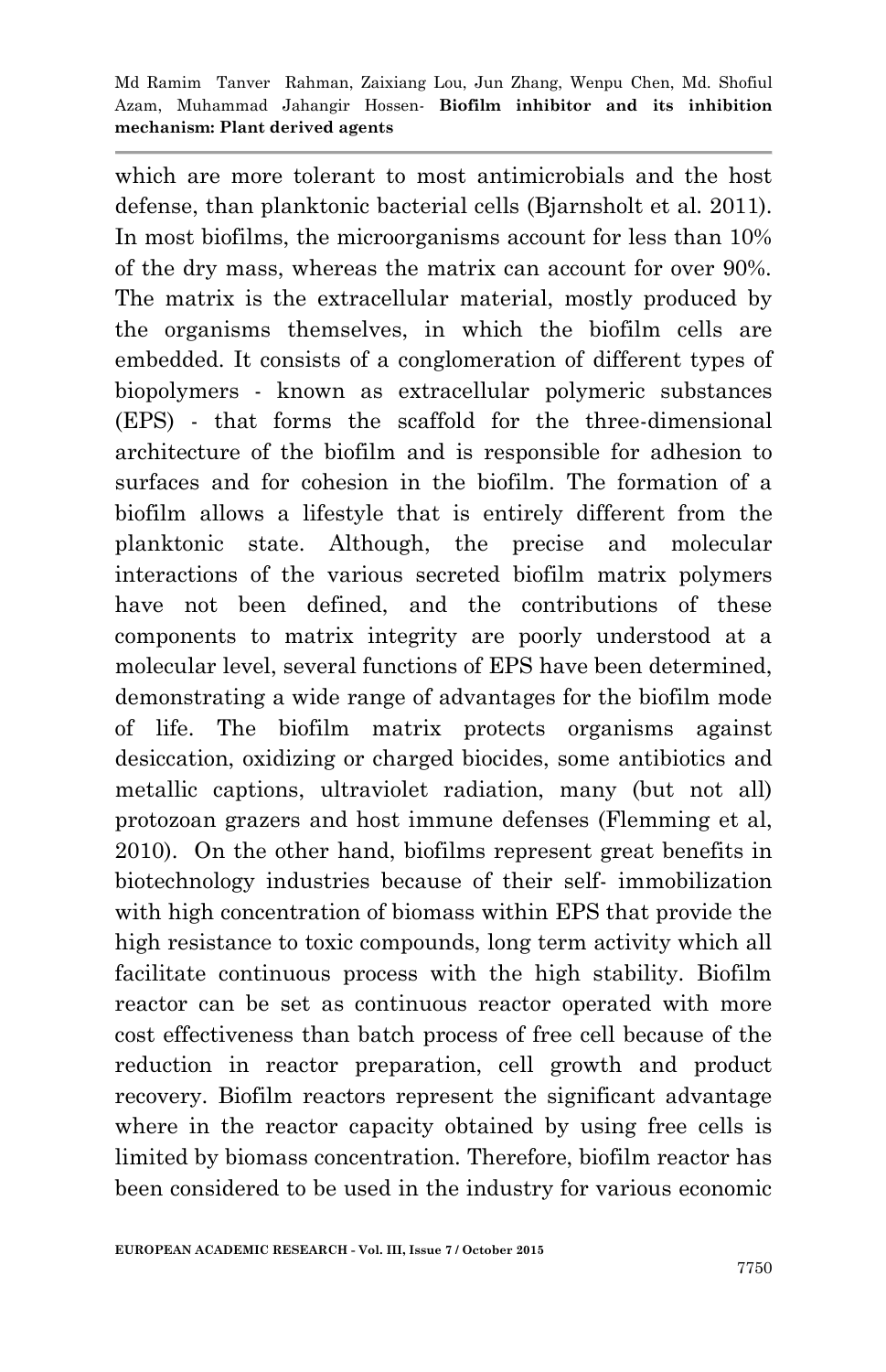which are more tolerant to most antimicrobials and the host defense, than planktonic bacterial cells (Bjarnsholt et al. 2011). In most biofilms, the microorganisms account for less than 10% of the dry mass, whereas the matrix can account for over 90%. The matrix is the extracellular material, mostly produced by the organisms themselves, in which the biofilm cells are embedded. It consists of a conglomeration of different types of biopolymers - known as extracellular polymeric substances (EPS) - that forms the scaffold for the three-dimensional architecture of the biofilm and is responsible for adhesion to surfaces and for cohesion in the biofilm. The formation of a biofilm allows a lifestyle that is entirely different from the planktonic state. Although, the precise and molecular interactions of the various secreted biofilm matrix polymers have not been defined, and the contributions of these components to matrix integrity are poorly understood at a molecular level, several functions of EPS have been determined, demonstrating a wide range of advantages for the biofilm mode of life. The biofilm matrix protects organisms against desiccation, oxidizing or charged biocides, some antibiotics and metallic captions, ultraviolet radiation, many (but not all) protozoan grazers and host immune defenses (Flemming et al, 2010). On the other hand, biofilms represent great benefits in biotechnology industries because of their self- immobilization with high concentration of biomass within EPS that provide the high resistance to toxic compounds, long term activity which all facilitate continuous process with the high stability. Biofilm reactor can be set as continuous reactor operated with more cost effectiveness than batch process of free cell because of the reduction in reactor preparation, cell growth and product recovery. Biofilm reactors represent the significant advantage where in the reactor capacity obtained by using free cells is limited by biomass concentration. Therefore, biofilm reactor has been considered to be used in the industry for various economic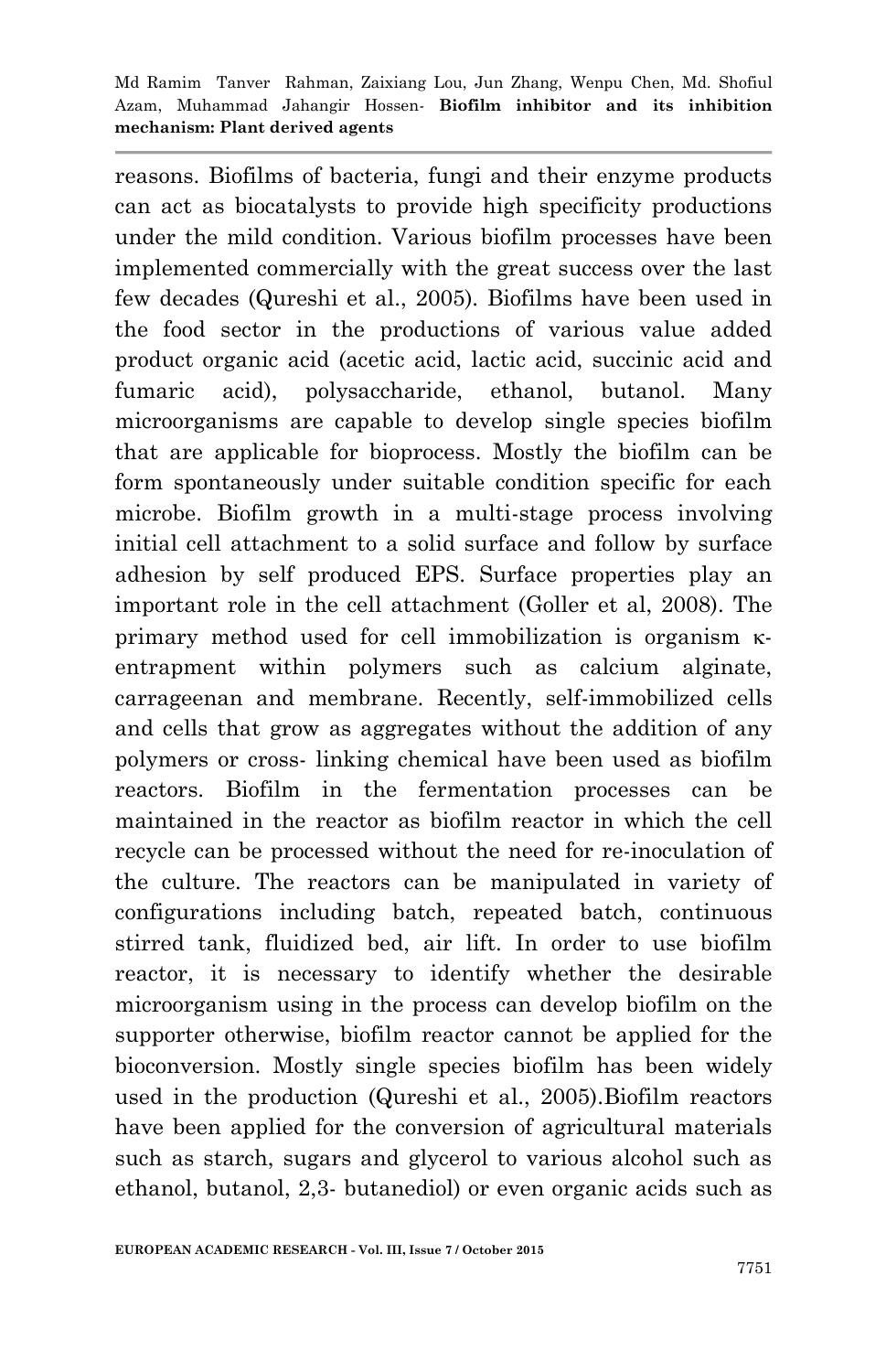reasons. Biofilms of bacteria, fungi and their enzyme products can act as biocatalysts to provide high specificity productions under the mild condition. Various biofilm processes have been implemented commercially with the great success over the last few decades (Qureshi et al., 2005). Biofilms have been used in the food sector in the productions of various value added product organic acid (acetic acid, lactic acid, succinic acid and fumaric acid), polysaccharide, ethanol, butanol. Many microorganisms are capable to develop single species biofilm that are applicable for bioprocess. Mostly the biofilm can be form spontaneously under suitable condition specific for each microbe. Biofilm growth in a multi-stage process involving initial cell attachment to a solid surface and follow by surface adhesion by self produced EPS. Surface properties play an important role in the cell attachment (Goller et al, 2008). The primary method used for cell immobilization is organism  $\kappa$ entrapment within polymers such as calcium alginate, carrageenan and membrane. Recently, self-immobilized cells and cells that grow as aggregates without the addition of any polymers or cross- linking chemical have been used as biofilm reactors. Biofilm in the fermentation processes can be maintained in the reactor as biofilm reactor in which the cell recycle can be processed without the need for re-inoculation of the culture. The reactors can be manipulated in variety of configurations including batch, repeated batch, continuous stirred tank, fluidized bed, air lift. In order to use biofilm reactor, it is necessary to identify whether the desirable microorganism using in the process can develop biofilm on the supporter otherwise, biofilm reactor cannot be applied for the bioconversion. Mostly single species biofilm has been widely used in the production (Qureshi et al., 2005).Biofilm reactors have been applied for the conversion of agricultural materials such as starch, sugars and glycerol to various alcohol such as ethanol, butanol, 2,3- butanediol) or even organic acids such as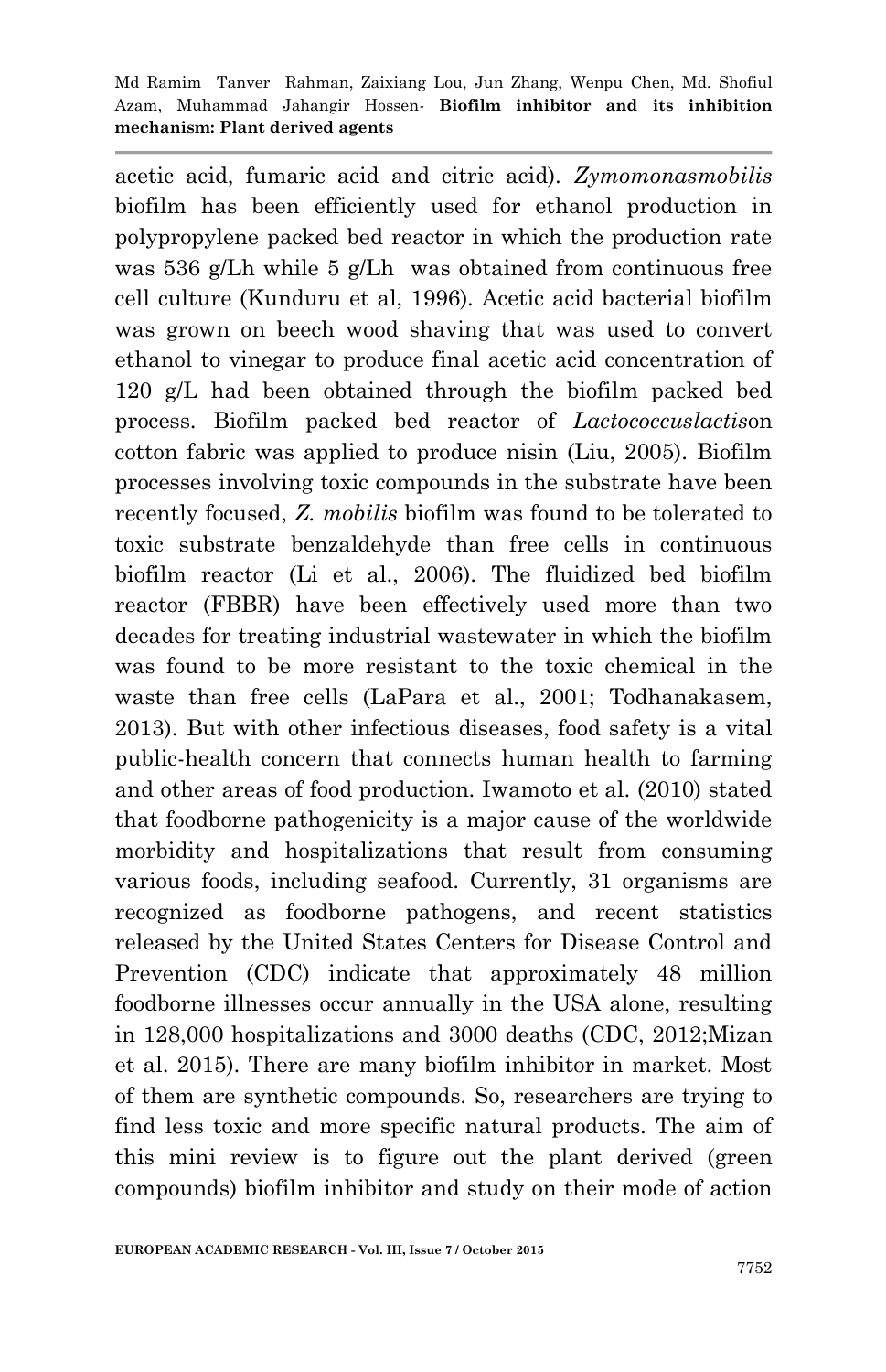acetic acid, fumaric acid and citric acid). *Zymomonasmobilis* biofilm has been efficiently used for ethanol production in polypropylene packed bed reactor in which the production rate was 536 g/Lh while 5 g/Lh was obtained from continuous free cell culture (Kunduru et al, 1996). Acetic acid bacterial biofilm was grown on beech wood shaving that was used to convert ethanol to vinegar to produce final acetic acid concentration of 120 g/L had been obtained through the biofilm packed bed process. Biofilm packed bed reactor of *Lactococcuslactis*on cotton fabric was applied to produce nisin (Liu, 2005). Biofilm processes involving toxic compounds in the substrate have been recently focused, *Z. mobilis* biofilm was found to be tolerated to toxic substrate benzaldehyde than free cells in continuous biofilm reactor (Li et al., 2006). The fluidized bed biofilm reactor (FBBR) have been effectively used more than two decades for treating industrial wastewater in which the biofilm was found to be more resistant to the toxic chemical in the waste than free cells (LaPara et al., 2001; Todhanakasem, 2013). But with other infectious diseases, food safety is a vital public-health concern that connects human health to farming and other areas of food production. Iwamoto et al. (2010) stated that foodborne pathogenicity is a major cause of the worldwide morbidity and hospitalizations that result from consuming various foods, including seafood. Currently, 31 organisms are recognized as foodborne pathogens, and recent statistics released by the United States Centers for Disease Control and Prevention (CDC) indicate that approximately 48 million foodborne illnesses occur annually in the USA alone, resulting in 128,000 hospitalizations and 3000 deaths (CDC, 2012;Mizan et al. 2015). There are many biofilm inhibitor in market. Most of them are synthetic compounds. So, researchers are trying to find less toxic and more specific natural products. The aim of this mini review is to figure out the plant derived (green compounds) biofilm inhibitor and study on their mode of action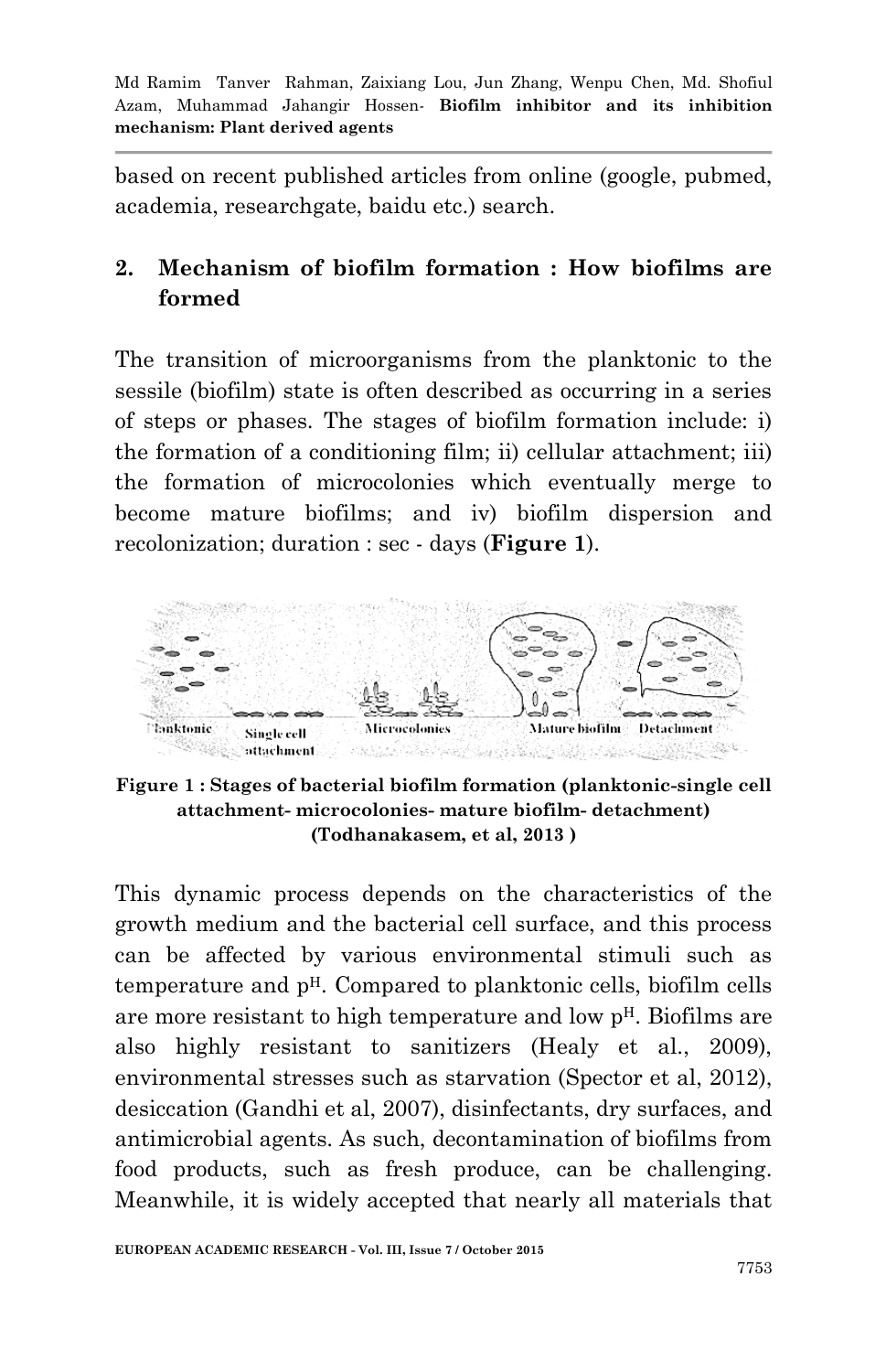based on recent published articles from online (google, pubmed, academia, researchgate, baidu etc.) search.

# **2. Mechanism of biofilm formation : How biofilms are formed**

The transition of microorganisms from the planktonic to the sessile (biofilm) state is often described as occurring in a series of steps or phases. The stages of biofilm formation include: i) the formation of a conditioning film; ii) cellular attachment; iii) the formation of microcolonies which eventually merge to become mature biofilms; and iv) biofilm dispersion and recolonization; duration : sec - days (**Figure 1**).



**Figure 1 : Stages of bacterial biofilm formation (planktonic-single cell attachment- microcolonies- mature biofilm- detachment) (Todhanakasem, et al, 2013 )**

This dynamic process depends on the characteristics of the growth medium and the bacterial cell surface, and this process can be affected by various environmental stimuli such as temperature and  $p<sup>H</sup>$ . Compared to planktonic cells, biofilm cells are more resistant to high temperature and low pH. Biofilms are also highly resistant to sanitizers (Healy et al., 2009), environmental stresses such as starvation (Spector et al, 2012), desiccation (Gandhi et al, 2007), disinfectants, dry surfaces, and antimicrobial agents. As such, decontamination of biofilms from food products, such as fresh produce, can be challenging. Meanwhile, it is widely accepted that nearly all materials that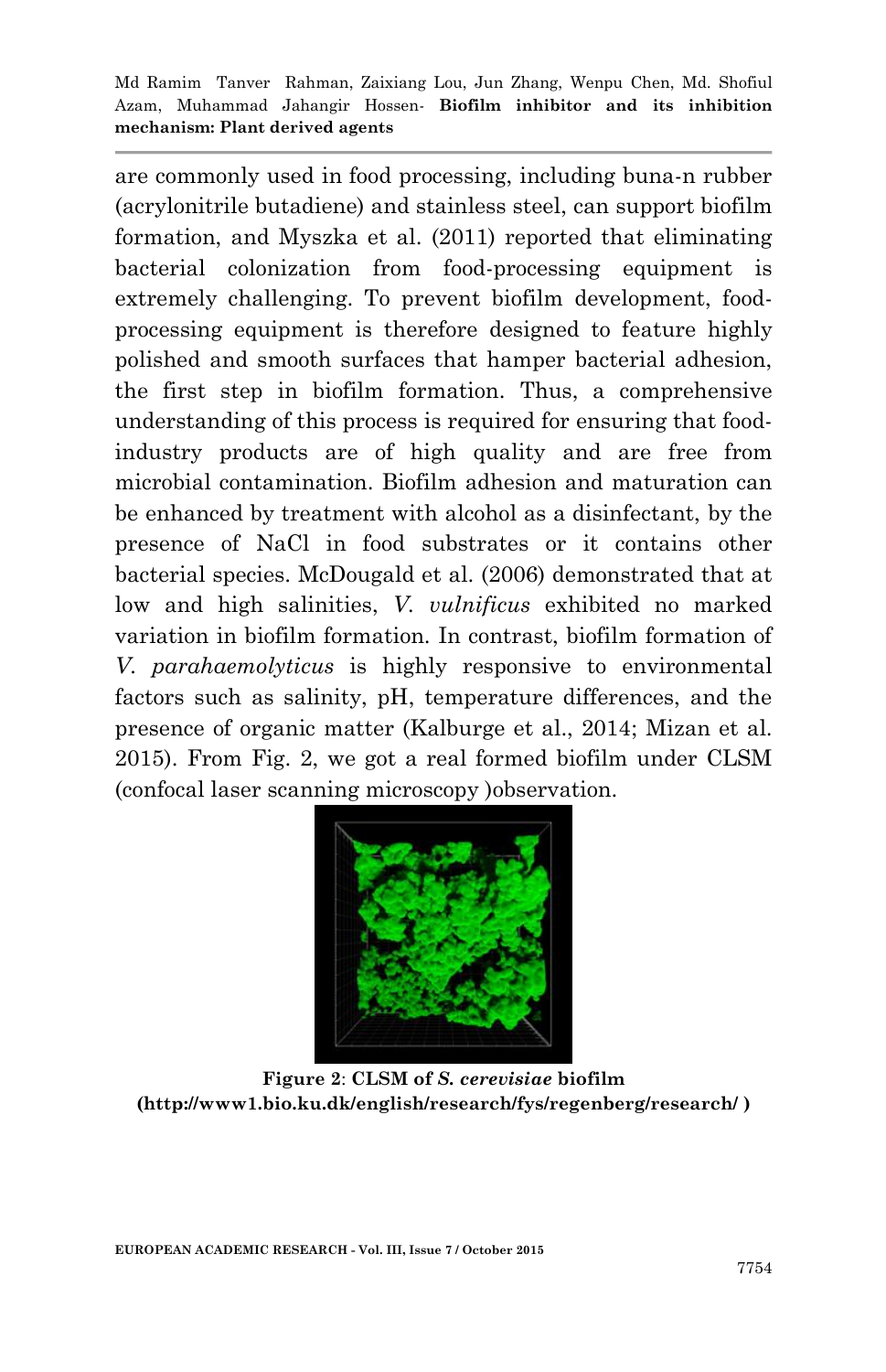are commonly used in food processing, including buna-n rubber (acrylonitrile butadiene) and stainless steel, can support biofilm formation, and Myszka et al. (2011) reported that eliminating bacterial colonization from food-processing equipment is extremely challenging. To prevent biofilm development, foodprocessing equipment is therefore designed to feature highly polished and smooth surfaces that hamper bacterial adhesion, the first step in biofilm formation. Thus, a comprehensive understanding of this process is required for ensuring that foodindustry products are of high quality and are free from microbial contamination. Biofilm adhesion and maturation can be enhanced by treatment with alcohol as a disinfectant, by the presence of NaCl in food substrates or it contains other bacterial species. McDougald et al. (2006) demonstrated that at low and high salinities, *V. vulnificus* exhibited no marked variation in biofilm formation. In contrast, biofilm formation of *V. parahaemolyticus* is highly responsive to environmental factors such as salinity, pH, temperature differences, and the presence of organic matter (Kalburge et al., 2014; Mizan et al. 2015). From Fig. 2, we got a real formed biofilm under CLSM (confocal laser scanning microscopy )observation.



**Figure 2**: **CLSM of** *S. cerevisiae* **biofilm (http://www1.bio.ku.dk/english/research/fys/regenberg/research/ )**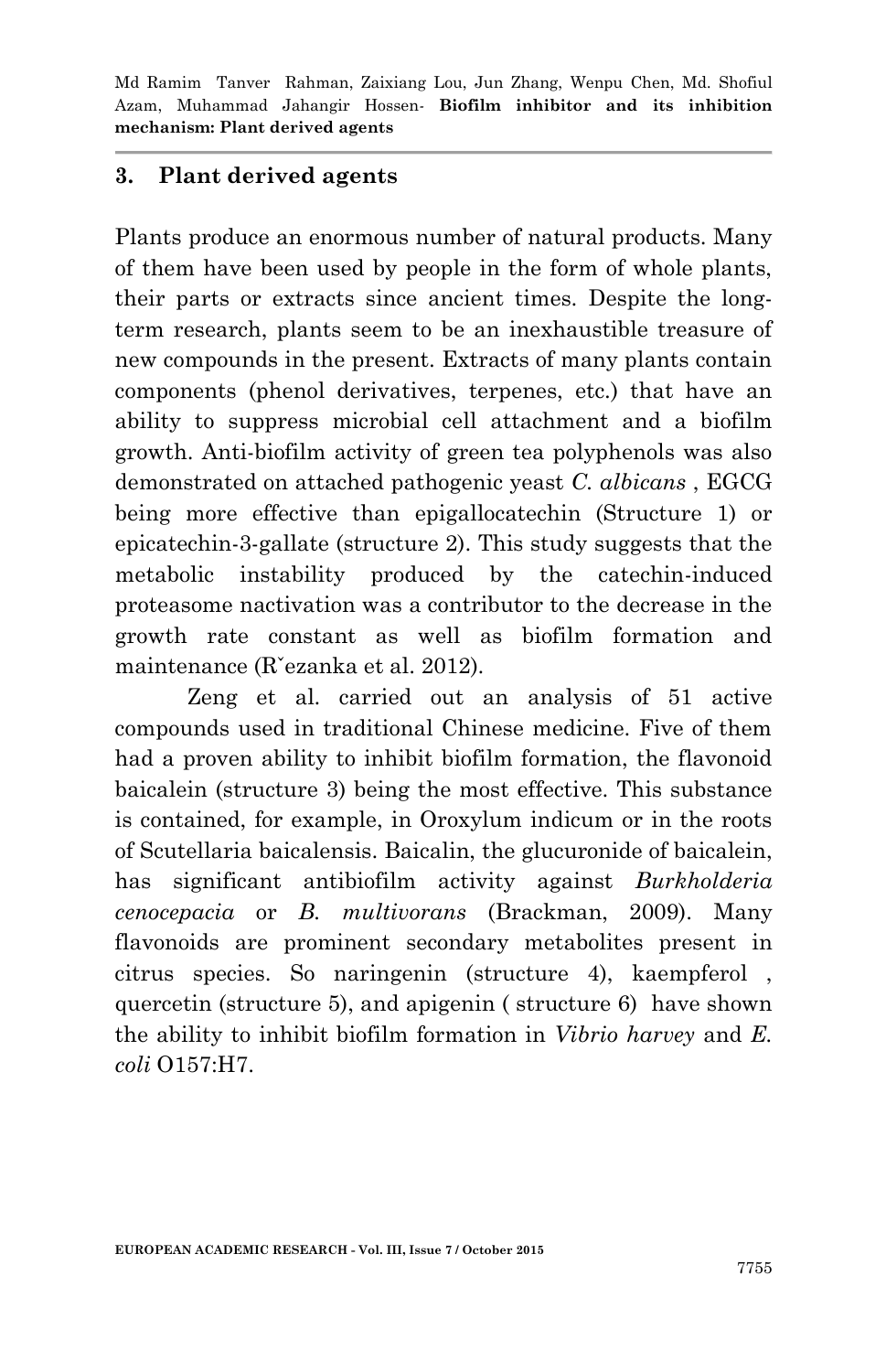## **3. Plant derived agents**

Plants produce an enormous number of natural products. Many of them have been used by people in the form of whole plants, their parts or extracts since ancient times. Despite the longterm research, plants seem to be an inexhaustible treasure of new compounds in the present. Extracts of many plants contain components (phenol derivatives, terpenes, etc.) that have an ability to suppress microbial cell attachment and a biofilm growth. Anti-biofilm activity of green tea polyphenols was also demonstrated on attached pathogenic yeast *C. albicans* , EGCG being more effective than epigallocatechin (Structure 1) or epicatechin-3-gallate (structure 2). This study suggests that the metabolic instability produced by the catechin-induced proteasome nactivation was a contributor to the decrease in the growth rate constant as well as biofilm formation and maintenance (Rˇezanka et al. 2012).

Zeng et al. carried out an analysis of 51 active compounds used in traditional Chinese medicine. Five of them had a proven ability to inhibit biofilm formation, the flavonoid baicalein (structure 3) being the most effective. This substance is contained, for example, in Oroxylum indicum or in the roots of Scutellaria baicalensis. Baicalin, the glucuronide of baicalein, has significant antibiofilm activity against *Burkholderia cenocepacia* or *B. multivorans* (Brackman, 2009). Many flavonoids are prominent secondary metabolites present in citrus species. So naringenin (structure 4), kaempferol , quercetin (structure 5), and apigenin ( structure 6) have shown the ability to inhibit biofilm formation in *Vibrio harvey* and *E. coli* O157:H7.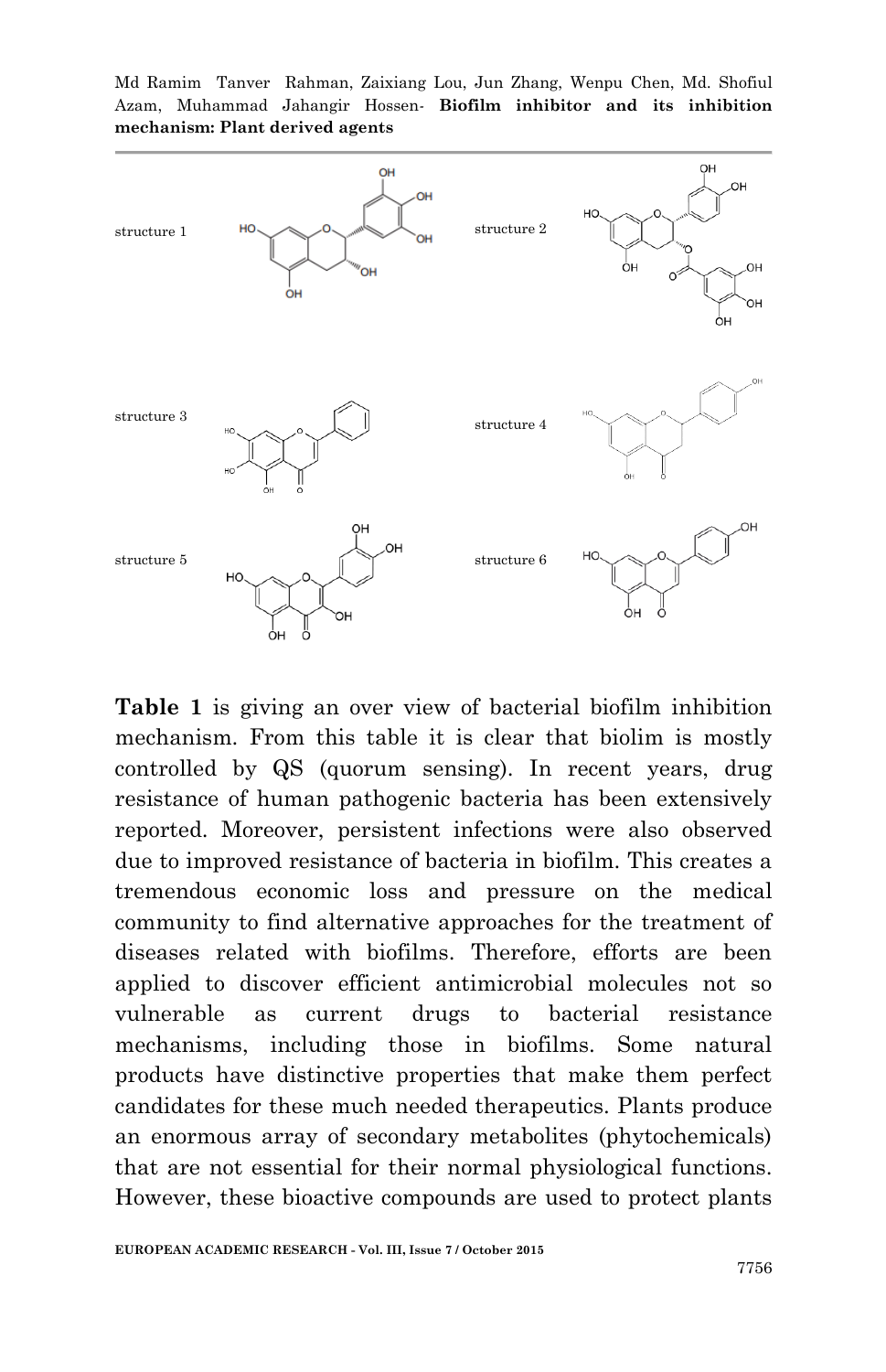Md Ramim Tanver Rahman, Zaixiang Lou, Jun Zhang, Wenpu Chen, Md. Shofiul Azam, Muhammad Jahangir Hossen*-* **Biofilm inhibitor and its inhibition mechanism: Plant derived agents**



**Table 1** is giving an over view of bacterial biofilm inhibition mechanism. From this table it is clear that biolim is mostly controlled by QS (quorum sensing). In recent years, drug resistance of human pathogenic bacteria has been extensively reported. Moreover, persistent infections were also observed due to improved resistance of bacteria in biofilm. This creates a tremendous economic loss and pressure on the medical community to find alternative approaches for the treatment of diseases related with biofilms. Therefore, efforts are been applied to discover efficient antimicrobial molecules not so vulnerable as current drugs to bacterial resistance mechanisms, including those in biofilms. Some natural products have distinctive properties that make them perfect candidates for these much needed therapeutics. Plants produce an enormous array of secondary metabolites (phytochemicals) that are not essential for their normal physiological functions. However, these bioactive compounds are used to protect plants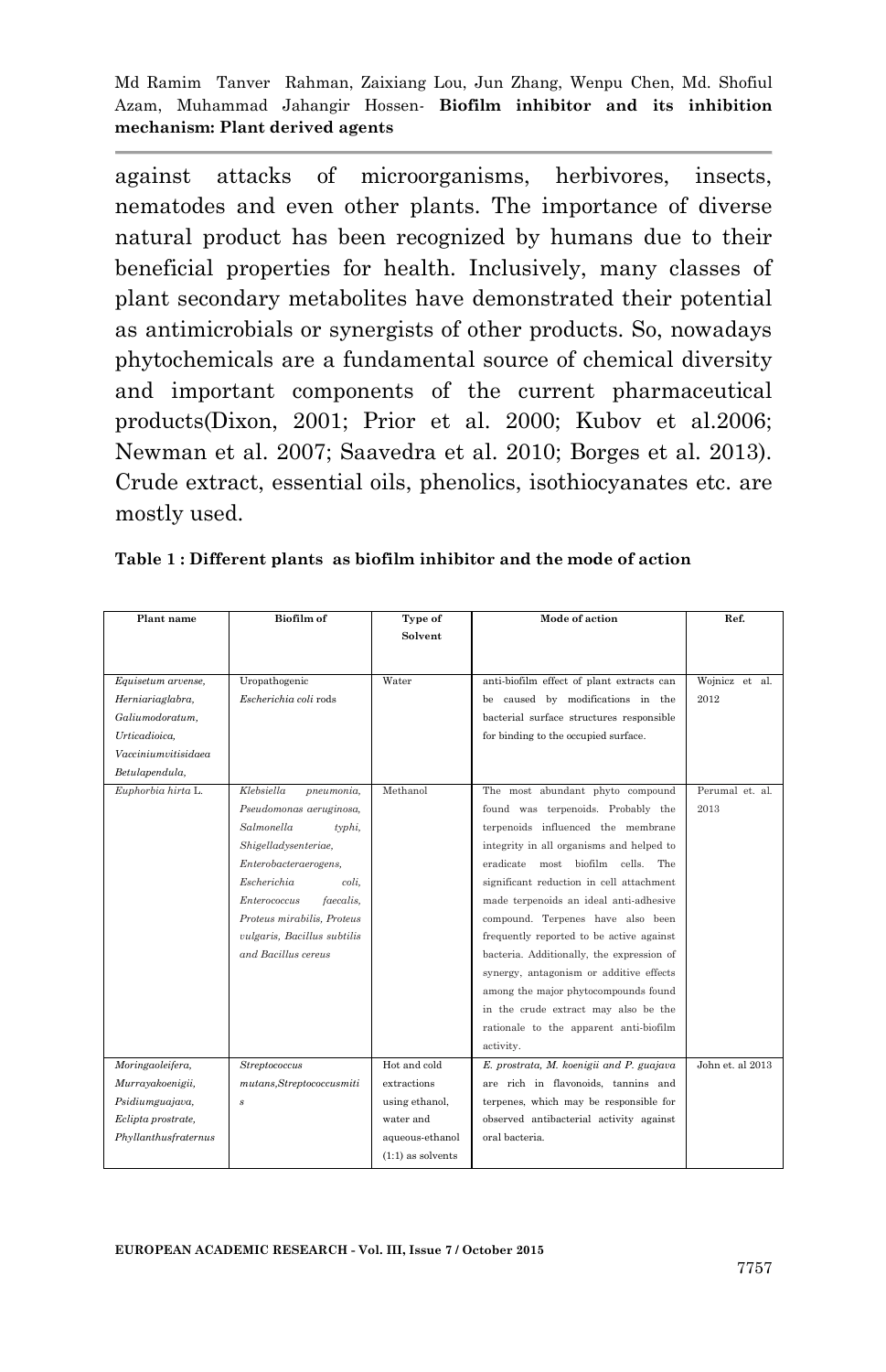against attacks of microorganisms, herbivores, insects, nematodes and even other plants. The importance of diverse natural product has been recognized by humans due to their beneficial properties for health. Inclusively, many classes of plant secondary metabolites have demonstrated their potential as antimicrobials or synergists of other products. So, nowadays phytochemicals are a fundamental source of chemical diversity and important components of the current pharmaceutical products(Dixon, 2001; Prior et al. 2000; Kubov et al.2006; Newman et al. 2007; Saavedra et al. 2010; Borges et al. 2013). Crude extract, essential oils, phenolics, isothiocyanates etc. are mostly used.

| Plant name           | <b>Biofilm</b> of           | Type of             | Mode of action                            | Ref.             |
|----------------------|-----------------------------|---------------------|-------------------------------------------|------------------|
|                      |                             | Solvent             |                                           |                  |
|                      |                             |                     |                                           |                  |
|                      |                             |                     |                                           |                  |
| Equisetum arvense,   | Uropathogenic               | Water               | anti-biofilm effect of plant extracts can | Wojnicz et al.   |
| Herniariaglabra,     | Escherichia coli rods       |                     | be caused by modifications in the         | 2012             |
| Galiumodoratum.      |                             |                     | bacterial surface structures responsible  |                  |
| Urticadioica.        |                             |                     | for binding to the occupied surface.      |                  |
| Vacciniumvitisidaea  |                             |                     |                                           |                  |
| Betulapendula,       |                             |                     |                                           |                  |
| Euphorbia hirta L.   | Klebsiella<br>pneumonia,    | Methanol            | The most abundant phyto compound          | Perumal et. al.  |
|                      | Pseudomonas aeruginosa,     |                     | found was terpenoids. Probably the        | 2013             |
|                      | Salmonella<br>$t$ yphi,     |                     | terpenoids influenced the membrane        |                  |
|                      | Shigelladysenteriae,        |                     | integrity in all organisms and helped to  |                  |
|                      | Enterobacteraerogens,       |                     | eradicate most biofilm cells. The         |                  |
|                      | Escherichia<br>coli.        |                     | significant reduction in cell attachment  |                  |
|                      | Enterococcus<br>faecalis.   |                     | made terpenoids an ideal anti-adhesive    |                  |
|                      | Proteus mirabilis, Proteus  |                     | compound. Terpenes have also been         |                  |
|                      | vulgaris, Bacillus subtilis |                     | frequently reported to be active against  |                  |
|                      | and Bacillus cereus         |                     | bacteria. Additionally, the expression of |                  |
|                      |                             |                     | synergy, antagonism or additive effects   |                  |
|                      |                             |                     | among the major phytocompounds found      |                  |
|                      |                             |                     | in the crude extract may also be the      |                  |
|                      |                             |                     | rationale to the apparent anti-biofilm    |                  |
|                      |                             |                     | activity.                                 |                  |
| Moringaoleifera,     | Streptococcus               | Hot and cold        | E. prostrata, M. koenigii and P. guajava  | John et. al 2013 |
| Murrayakoenigii,     | mutans, Streptococcus miti  | extractions         | are rich in flavonoids, tannins and       |                  |
| Psidiumguajava,      | $\boldsymbol{s}$            | using ethanol,      | terpenes, which may be responsible for    |                  |
| Eclipta prostrate,   |                             | water and           | observed antibacterial activity against   |                  |
| Phyllanthusfraternus |                             | aqueous-ethanol     | oral bacteria.                            |                  |
|                      |                             | $(1:1)$ as solvents |                                           |                  |

|  |  | Table 1: Different plants as biofilm inhibitor and the mode of action |  |  |
|--|--|-----------------------------------------------------------------------|--|--|
|  |  |                                                                       |  |  |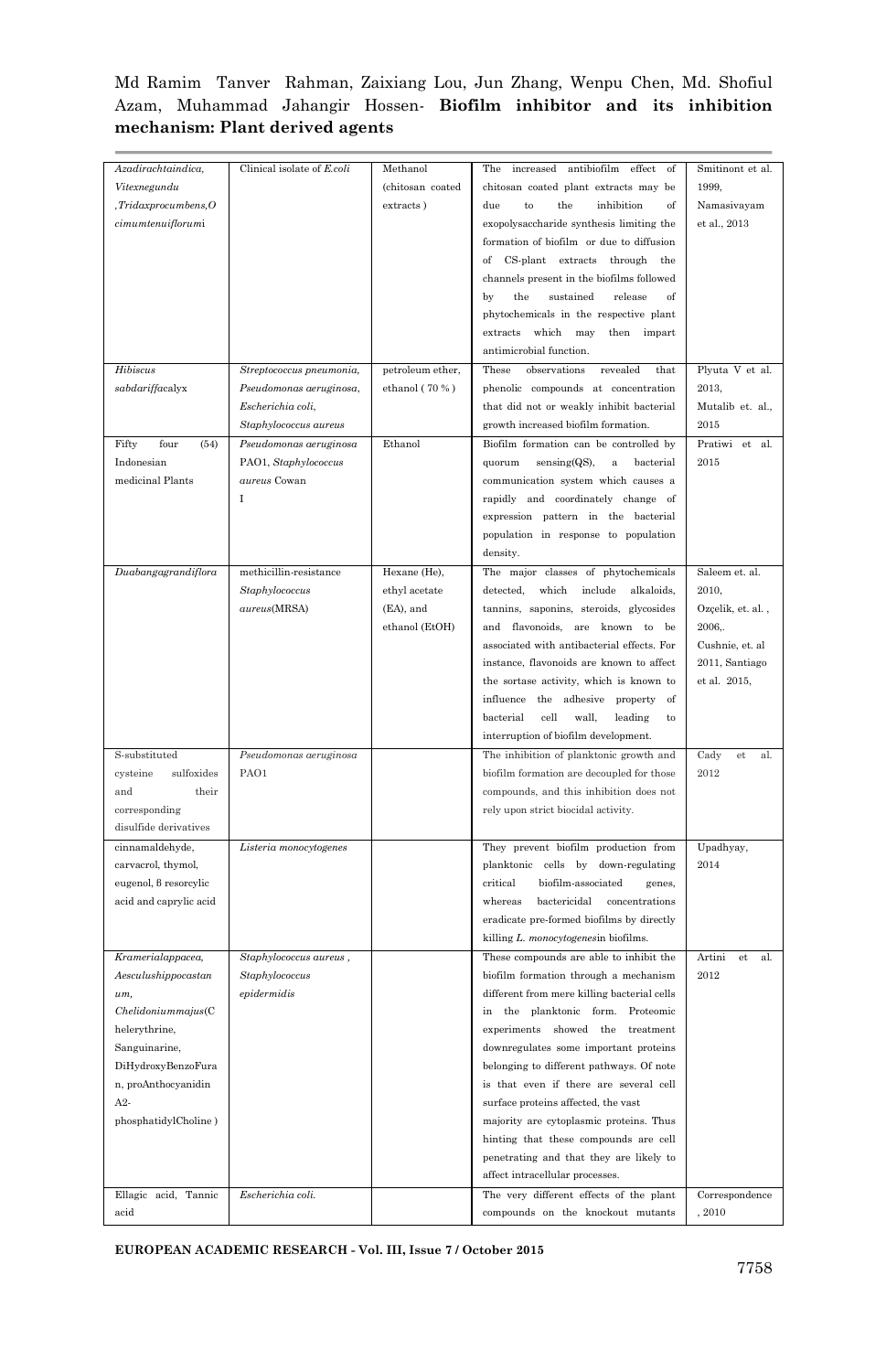| Azadirachtaindica,      | Clinical isolate of E.coli | Methanol         | The<br>increased antibiofilm effect<br>-of      | Smitinont et al.    |
|-------------------------|----------------------------|------------------|-------------------------------------------------|---------------------|
| Vitexnegundu            |                            | (chitosan coated | chitosan coated plant extracts may be           | 1999.               |
| . Tridax pro cumbens. O |                            | extracts)        | due<br>to<br>the<br>inhibition<br>of            | Namasivayam         |
| cimumtenuiflorumi       |                            |                  | exopolysaccharide synthesis limiting the        | et al., 2013        |
|                         |                            |                  | formation of biofilm or due to diffusion        |                     |
|                         |                            |                  | of CS-plant extracts through<br>the             |                     |
|                         |                            |                  | channels present in the biofilms followed       |                     |
|                         |                            |                  | the<br>sustained<br>release<br>of<br>bv         |                     |
|                         |                            |                  | phytochemicals in the respective plant          |                     |
|                         |                            |                  | extracts<br>which may<br>then impart            |                     |
|                         |                            |                  | antimicrobial function.                         |                     |
| Hibiscus                | Streptococcus pneumonia,   | petroleum ether, | These<br>observations<br>revealed<br>that       | Plyuta V et al.     |
| sabdariffacalyx         | Pseudomonas aeruginosa,    | ethanol (70 %)   | phenolic compounds at concentration             | 2013,               |
|                         | Escherichia coli,          |                  | that did not or weakly inhibit bacterial        | Mutalib et. al.,    |
|                         | Staphylococcus aureus      |                  | growth increased biofilm formation.             | 2015                |
| Fifty<br>four<br>(54)   | Pseudomonas aeruginosa     | Ethanol          | Biofilm formation can be controlled by          | Pratiwi et<br>al.   |
| Indonesian              | PAO1, Staphylococcus       |                  | bacterial<br>quorum<br>sensing(QS),<br>$\rm{a}$ | 2015                |
| medicinal Plants        | aureus Cowan               |                  | communication system which causes a             |                     |
|                         | I                          |                  | rapidly and coordinately change of              |                     |
|                         |                            |                  | expression pattern in the bacterial             |                     |
|                         |                            |                  | population in response to population            |                     |
|                         |                            |                  | density.                                        |                     |
| Duabangagrandiflora     | methicillin-resistance     | Hexane (He),     | The major classes of phytochemicals             | Saleem et. al.      |
|                         | Staphylococcus             | ethyl acetate    | detected,<br>which<br>include<br>alkaloids,     | 2010,               |
|                         | aureus(MRSA)               | (EA), and        | tannins, saponins, steroids, glycosides         | Ozçelik, et. al.,   |
|                         |                            | ethanol (EtOH)   | and flavonoids, are known to be                 | 2006,               |
|                         |                            |                  | associated with antibacterial effects. For      | Cushnie, et. al     |
|                         |                            |                  | instance, flavonoids are known to affect        | 2011, Santiago      |
|                         |                            |                  | the sortase activity, which is known to         | et al. 2015,        |
|                         |                            |                  | influence the adhesive property of              |                     |
|                         |                            |                  | bacterial<br>cell<br>wall,<br>leading<br>to     |                     |
|                         |                            |                  | interruption of biofilm development.            |                     |
| S-substituted           | Pseudomonas aeruginosa     |                  | The inhibition of planktonic growth and         | Cady<br>et<br>al.   |
| sulfoxides<br>cysteine  | PAO1                       |                  | biofilm formation are decoupled for those       | 2012                |
| their<br>and            |                            |                  | compounds, and this inhibition does not         |                     |
| corresponding           |                            |                  | rely upon strict biocidal activity.             |                     |
| disulfide derivatives   |                            |                  |                                                 |                     |
| cinnamaldehyde,         | Listeria monocytogenes     |                  | They prevent biofilm production from            | Upadhyay,           |
| carvacrol, thymol,      |                            |                  | planktonic cells by down-regulating             | 2014                |
| eugenol, 8 resorcylic   |                            |                  | critical<br>biofilm-associated<br>genes,        |                     |
| acid and caprylic acid  |                            |                  | whereas<br>bactericidal<br>concentrations       |                     |
|                         |                            |                  | eradicate pre-formed biofilms by directly       |                     |
|                         |                            |                  | killing L. monocytogenesin biofilms.            |                     |
| Kramerialappacea,       | Staphylococcus aureus,     |                  | These compounds are able to inhibit the         | Artini<br>al.<br>et |
| Aesculushippocastan     | Staphylococcus             |                  | biofilm formation through a mechanism           | 2012                |
| um.                     | epidermidis                |                  | different from mere killing bacterial cells     |                     |
| Chelidonium majus (C)   |                            |                  | in the planktonic form. Proteomic               |                     |
| helerythrine,           |                            |                  | experiments showed the treatment                |                     |
| Sanguinarine,           |                            |                  | downregulates some important proteins           |                     |
| DiHydroxyBenzoFura      |                            |                  | belonging to different pathways. Of note        |                     |
| n, proAnthocyanidin     |                            |                  | is that even if there are several cell          |                     |
| $A2-$                   |                            |                  | surface proteins affected, the vast             |                     |
| phosphatidylCholine)    |                            |                  | majority are cytoplasmic proteins. Thus         |                     |
|                         |                            |                  | hinting that these compounds are cell           |                     |
|                         |                            |                  | penetrating and that they are likely to         |                     |
|                         |                            |                  | affect intracellular processes.                 |                     |
| Ellagic acid, Tannic    | Escherichia coli.          |                  | The very different effects of the plant         | Correspondence      |
| acid                    |                            |                  | compounds on the knockout mutants               | , 2010              |

**EUROPEAN ACADEMIC RESEARCH - Vol. III, Issue 7 / October 2015**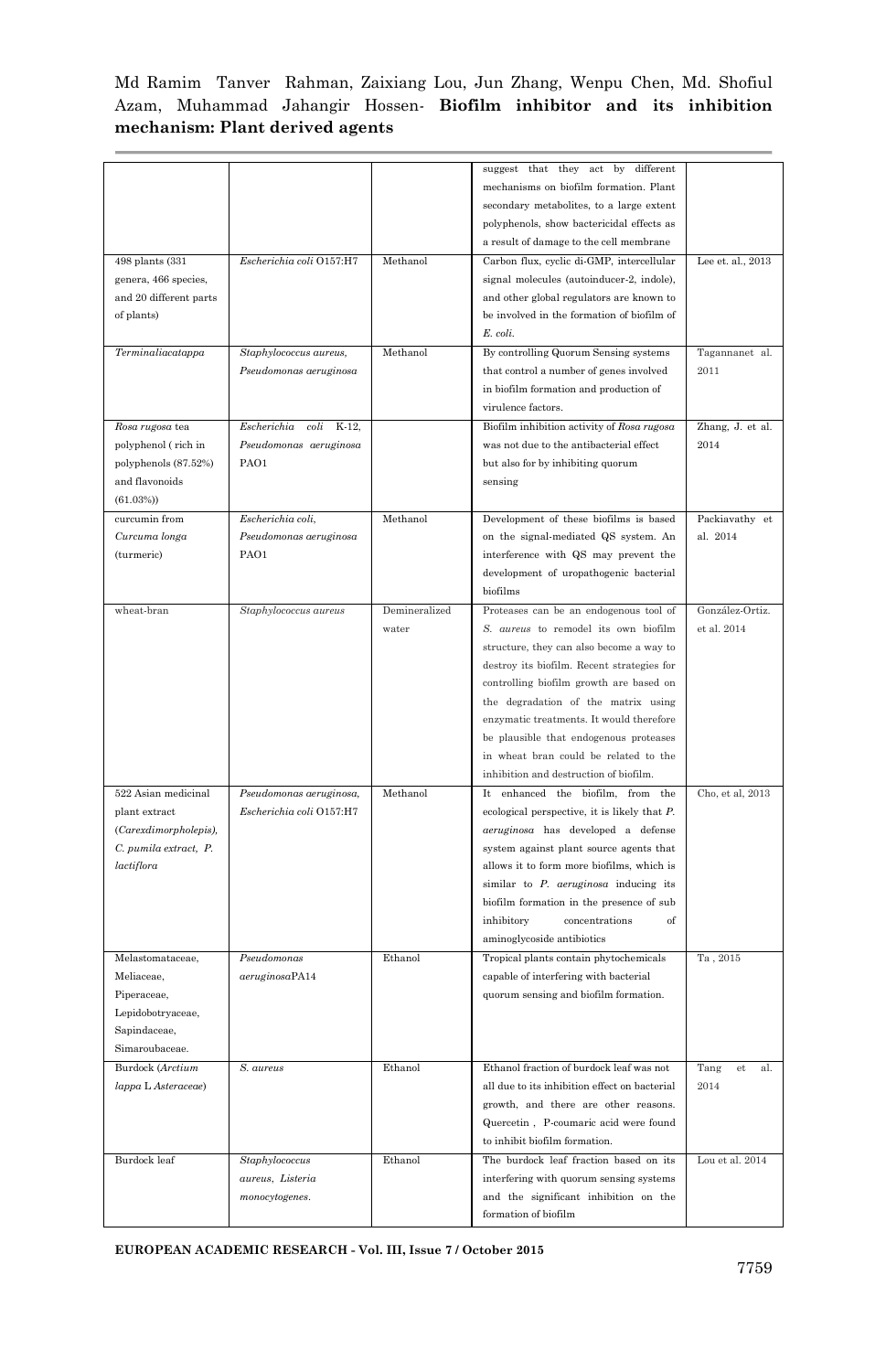|                        |                              |               | suggest that they act by<br>different         |                   |
|------------------------|------------------------------|---------------|-----------------------------------------------|-------------------|
|                        |                              |               | mechanisms on biofilm formation. Plant        |                   |
|                        |                              |               | secondary metabolites, to a large extent      |                   |
|                        |                              |               | polyphenols, show bactericidal effects as     |                   |
|                        |                              |               | a result of damage to the cell membrane       |                   |
| 498 plants (331        | Escherichia coli O157:H7     | Methanol      | Carbon flux, cyclic di-GMP, intercellular     | Lee et. al., 2013 |
| genera, 466 species,   |                              |               | signal molecules (autoinducer-2, indole),     |                   |
| and 20 different parts |                              |               | and other global regulators are known to      |                   |
| of plants)             |                              |               | be involved in the formation of biofilm of    |                   |
|                        |                              |               | E. coli.                                      |                   |
| Terminaliacatappa      | Staphylococcus aureus,       | Methanol      | By controlling Quorum Sensing systems         | Tagannanet al.    |
|                        | Pseudomonas aeruginosa       |               | that control a number of genes involved       | 2011              |
|                        |                              |               | in biofilm formation and production of        |                   |
|                        |                              |               | virulence factors.                            |                   |
| Rosa rugosa tea        | K-12,<br>Escherichia<br>coli |               | Biofilm inhibition activity of Rosa rugosa    | Zhang, J. et al.  |
| polyphenol (rich in    | Pseudomonas aeruginosa       |               | was not due to the antibacterial effect       | 2014              |
| polyphenols (87.52%)   | PAO1                         |               | but also for by inhibiting quorum             |                   |
| and flavonoids         |                              |               | sensing                                       |                   |
| (61.03%)               |                              |               |                                               |                   |
| curcumin from          | Escherichia coli.            | Methanol      | Development of these biofilms is based        | Packiavathy et    |
| Curcuma longa          | Pseudomonas aeruginosa       |               | on the signal-mediated QS system. An          | al. 2014          |
| (turmeric)             | PAO1                         |               | interference with QS may prevent the          |                   |
|                        |                              |               | development of uropathogenic bacterial        |                   |
|                        |                              |               | biofilms                                      |                   |
| wheat-bran             | Staphylococcus aureus        | Demineralized | Proteases can be an endogenous tool of        | González-Ortiz.   |
|                        |                              | water         | S. aureus to remodel its own biofilm          | et al. 2014       |
|                        |                              |               | structure, they can also become a way to      |                   |
|                        |                              |               | destroy its biofilm. Recent strategies for    |                   |
|                        |                              |               | controlling biofilm growth are based on       |                   |
|                        |                              |               | the degradation of the matrix using           |                   |
|                        |                              |               | enzymatic treatments. It would therefore      |                   |
|                        |                              |               | be plausible that endogenous proteases        |                   |
|                        |                              |               | in wheat bran could be related to the         |                   |
|                        |                              |               | inhibition and destruction of biofilm.        |                   |
| 522 Asian medicinal    | Pseudomonas aeruginosa,      | Methanol      | It enhanced the biofilm, from the             | Cho, et al, 2013  |
| plant extract          | Escherichia coli O157:H7     |               | ecological perspective, it is likely that P.  |                   |
| (Carexdimorpholepis),  |                              |               | aeruginosa has developed a defense            |                   |
|                        |                              |               |                                               |                   |
| C. pumila extract, P.  |                              |               | system against plant source agents that       |                   |
| lactiflora             |                              |               | allows it to form more biofilms, which is     |                   |
|                        |                              |               | similar to $P$ . $aeruginosa$ inducing its    |                   |
|                        |                              |               | biofilm formation in the presence of sub      |                   |
|                        |                              |               | concentrations<br>of<br>inhibitory            |                   |
| Melastomataceae.       |                              |               | aminoglycoside antibiotics                    |                   |
| Meliaceae.             | Pseudomonas                  | Ethanol       | Tropical plants contain phytochemicals        | Ta, 2015          |
|                        | aeruginosaPA14               |               | capable of interfering with bacterial         |                   |
| Piperaceae,            |                              |               | quorum sensing and biofilm formation.         |                   |
| Lepidobotryaceae,      |                              |               |                                               |                   |
| Sapindaceae,           |                              |               |                                               |                   |
| Simaroubaceae.         |                              |               |                                               |                   |
| Burdock (Arctium       | S. aureus                    | Ethanol       | Ethanol fraction of burdock leaf was not      | Tang<br>al.<br>et |
| lappa L Asteraceae)    |                              |               | all due to its inhibition effect on bacterial | 2014              |
|                        |                              |               | growth, and there are other reasons.          |                   |
|                        |                              |               | Quercetin, P-coumaric acid were found         |                   |
|                        |                              |               | to inhibit biofilm formation.                 |                   |
| Burdock leaf           | Staphylococcus               | Ethanol       | The burdock leaf fraction based on its        | Lou et al. 2014   |
|                        | aureus, Listeria             |               | interfering with quorum sensing systems       |                   |
|                        | monocytogenes.               |               | and the significant inhibition on the         |                   |
|                        |                              |               | formation of biofilm                          |                   |

**EUROPEAN ACADEMIC RESEARCH - Vol. III, Issue 7 / October 2015**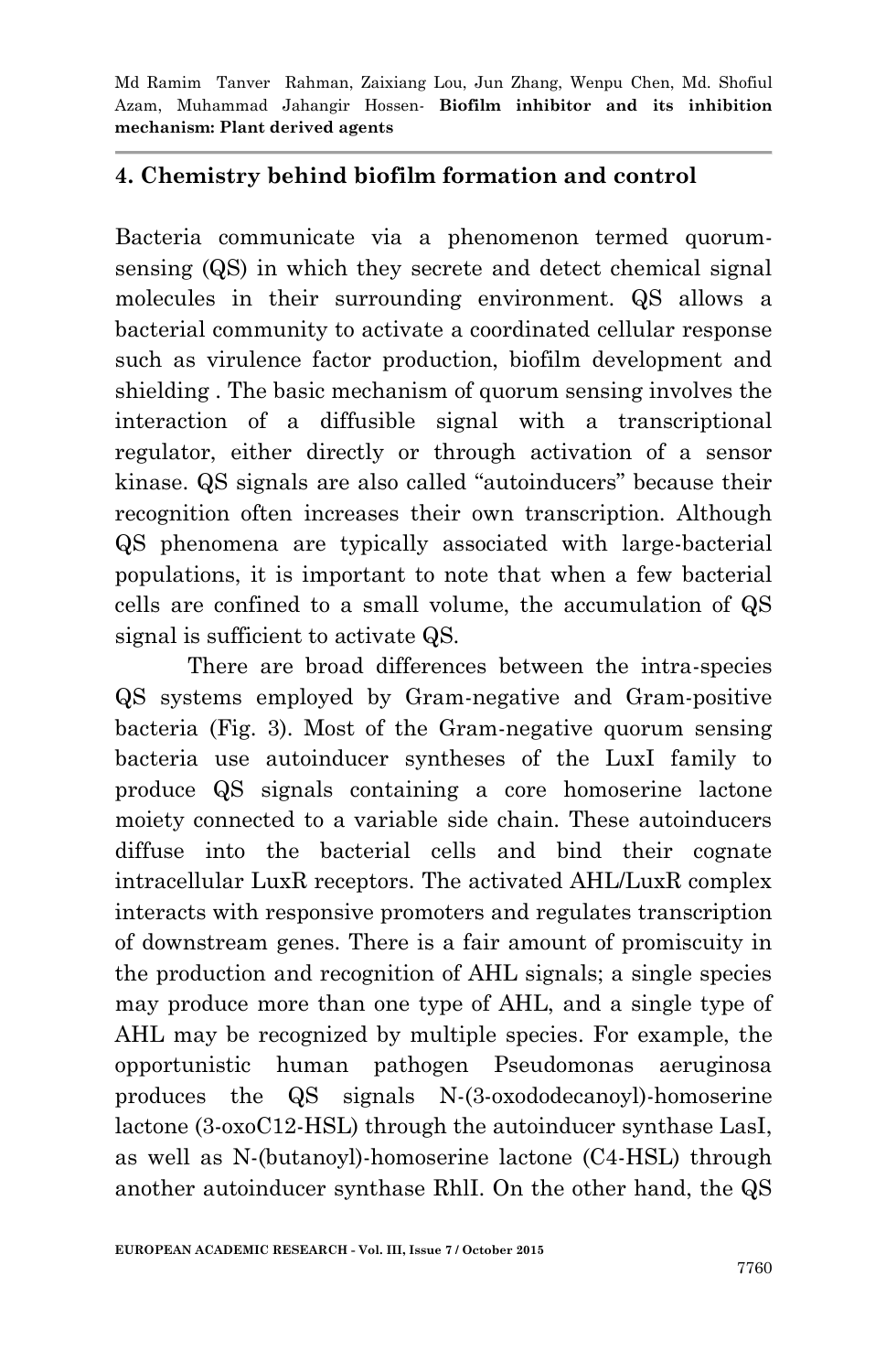# **4. Chemistry behind biofilm formation and control**

Bacteria communicate via a phenomenon termed quorumsensing (QS) in which they secrete and detect chemical signal molecules in their surrounding environment. QS allows a bacterial community to activate a coordinated cellular response such as virulence factor production, biofilm development and shielding . The basic mechanism of quorum sensing involves the interaction of a diffusible signal with a transcriptional regulator, either directly or through activation of a sensor kinase. QS signals are also called "autoinducers" because their recognition often increases their own transcription. Although QS phenomena are typically associated with large-bacterial populations, it is important to note that when a few bacterial cells are confined to a small volume, the accumulation of QS signal is sufficient to activate QS.

There are broad differences between the intra-species QS systems employed by Gram-negative and Gram-positive bacteria (Fig. 3). Most of the Gram-negative quorum sensing bacteria use autoinducer syntheses of the LuxI family to produce QS signals containing a core homoserine lactone moiety connected to a variable side chain. These autoinducers diffuse into the bacterial cells and bind their cognate intracellular LuxR receptors. The activated AHL/LuxR complex interacts with responsive promoters and regulates transcription of downstream genes. There is a fair amount of promiscuity in the production and recognition of AHL signals; a single species may produce more than one type of AHL, and a single type of AHL may be recognized by multiple species. For example, the opportunistic human pathogen Pseudomonas aeruginosa produces the QS signals N-(3-oxododecanoyl)-homoserine lactone (3-oxoC12-HSL) through the autoinducer synthase LasI, as well as N-(butanoyl)-homoserine lactone (C4-HSL) through another autoinducer synthase RhlI. On the other hand, the QS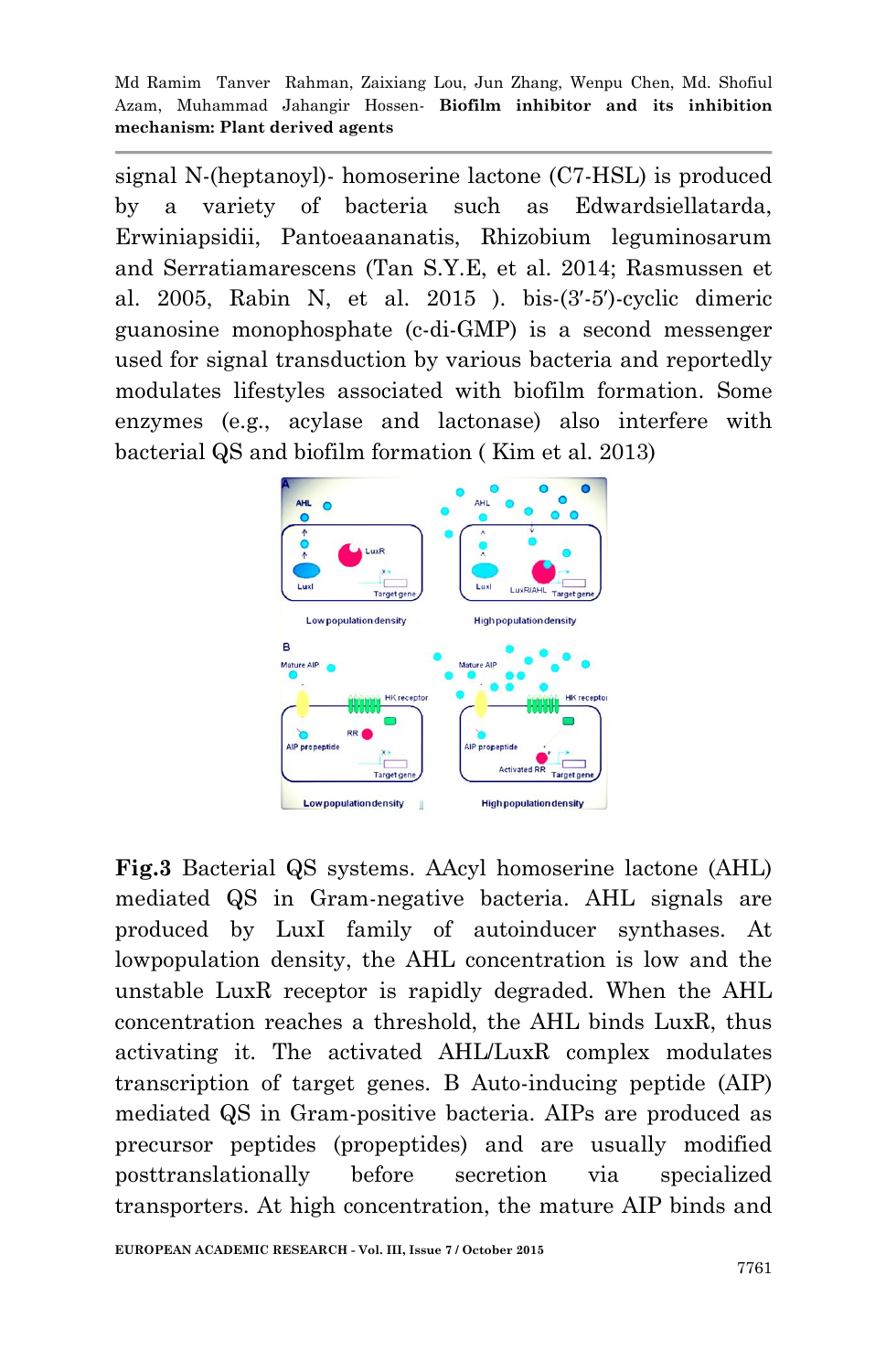Md Ramim Tanver Rahman, Zaixiang Lou, Jun Zhang, Wenpu Chen, Md. Shofiul Azam, Muhammad Jahangir Hossen*-* **Biofilm inhibitor and its inhibition mechanism: Plant derived agents**

signal N-(heptanoyl)- homoserine lactone (C7-HSL) is produced by a variety of bacteria such as Edwardsiellatarda, Erwiniapsidii, Pantoeaananatis, Rhizobium leguminosarum and Serratiamarescens (Tan S.Y.E, et al. 2014; Rasmussen et al. 2005, Rabin N, et al. 2015 ). bis-(3′-5′)-cyclic dimeric guanosine monophosphate (c-di-GMP) is a second messenger used for signal transduction by various bacteria and reportedly modulates lifestyles associated with biofilm formation. Some enzymes (e.g., acylase and lactonase) also interfere with bacterial QS and biofilm formation ( Kim et al. 2013)



**Fig.3** Bacterial QS systems. AAcyl homoserine lactone (AHL) mediated QS in Gram-negative bacteria. AHL signals are produced by LuxI family of autoinducer synthases. At lowpopulation density, the AHL concentration is low and the unstable LuxR receptor is rapidly degraded. When the AHL concentration reaches a threshold, the AHL binds LuxR, thus activating it. The activated AHL/LuxR complex modulates transcription of target genes. B Auto-inducing peptide (AIP) mediated QS in Gram-positive bacteria. AIPs are produced as precursor peptides (propeptides) and are usually modified posttranslationally before secretion via specialized transporters. At high concentration, the mature AIP binds and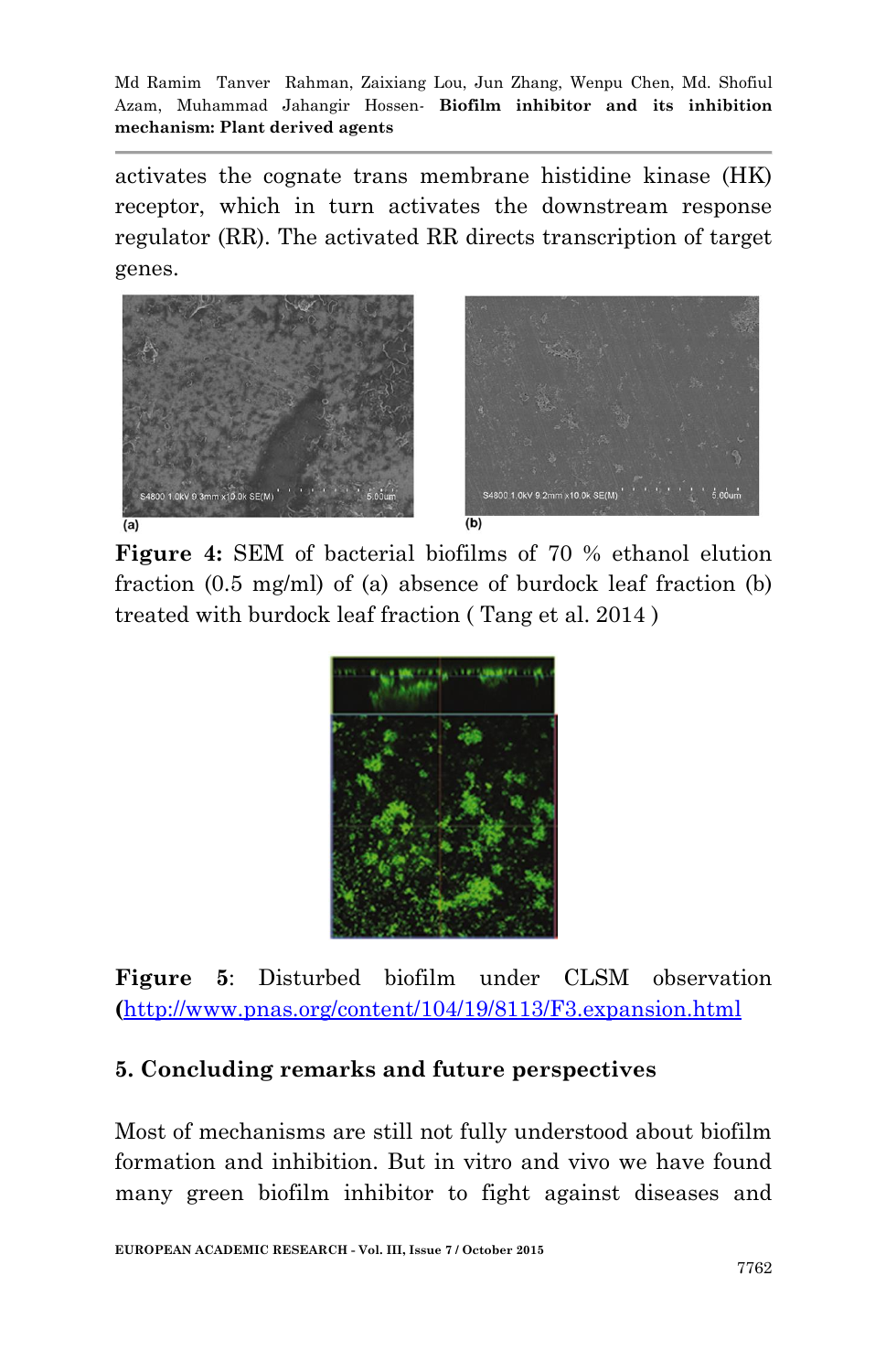activates the cognate trans membrane histidine kinase (HK) receptor, which in turn activates the downstream response regulator (RR). The activated RR directs transcription of target genes.



**Figure 4:** SEM of bacterial biofilms of 70 % ethanol elution fraction (0.5 mg/ml) of (a) absence of burdock leaf fraction (b) treated with burdock leaf fraction ( Tang et al. 2014 )



**Figure 5**: Disturbed biofilm under CLSM observation **(**<http://www.pnas.org/content/104/19/8113/F3.expansion.html>

# **5. Concluding remarks and future perspectives**

Most of mechanisms are still not fully understood about biofilm formation and inhibition. But in vitro and vivo we have found many green biofilm inhibitor to fight against diseases and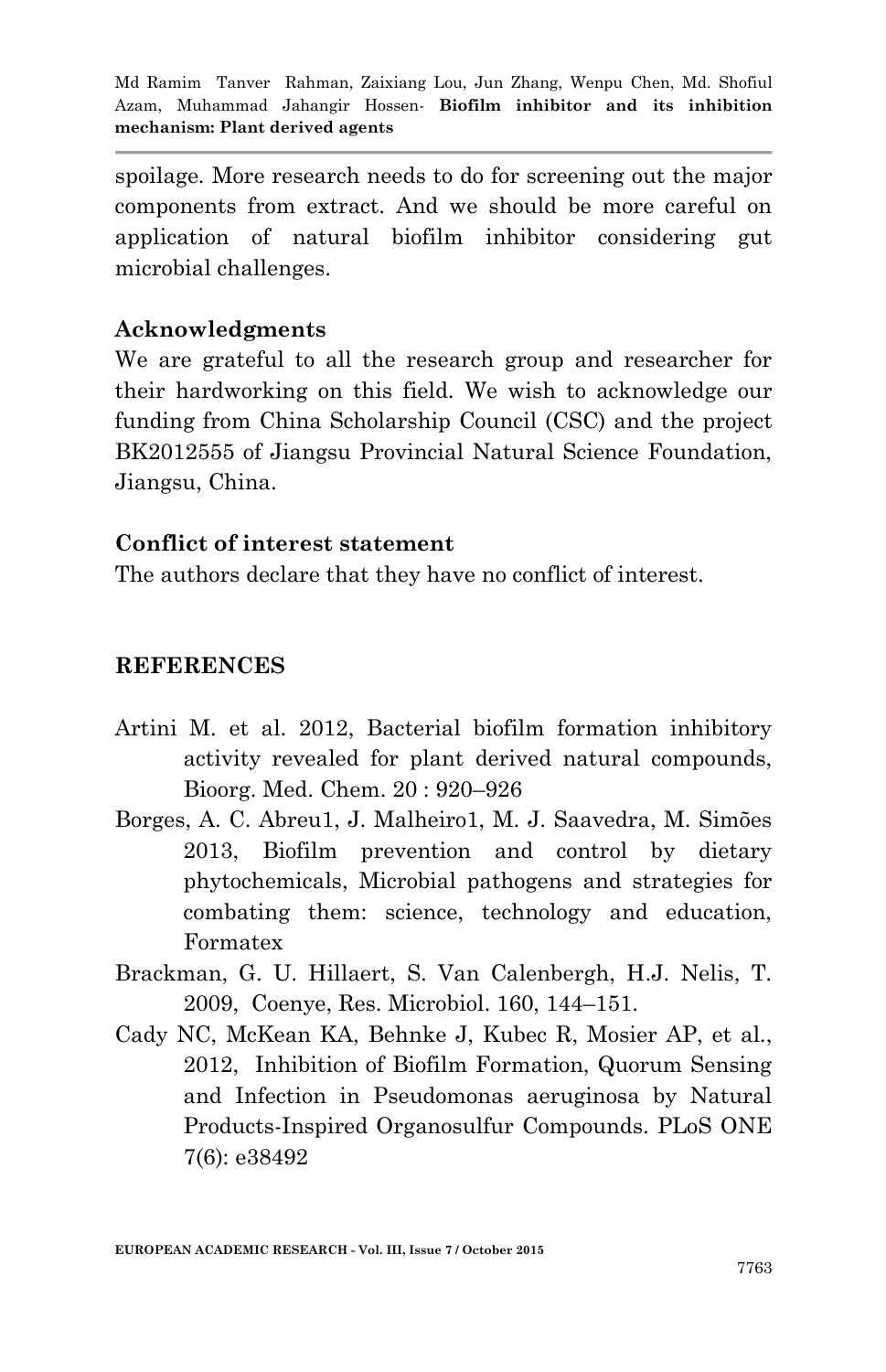spoilage. More research needs to do for screening out the major components from extract. And we should be more careful on application of natural biofilm inhibitor considering gut microbial challenges.

# **Acknowledgments**

We are grateful to all the research group and researcher for their hardworking on this field. We wish to acknowledge our funding from China Scholarship Council (CSC) and the project BK2012555 of Jiangsu Provincial Natural Science Foundation, Jiangsu, China.

## **Conflict of interest statement**

The authors declare that they have no conflict of interest.

### **REFERENCES**

- Artini M. et al. 2012, Bacterial biofilm formation inhibitory activity revealed for plant derived natural compounds, Bioorg. Med. Chem. 20 : 920–926
- Borges, A. C. Abreu1, J. Malheiro1, M. J. Saavedra, M. Simões 2013, Biofilm prevention and control by dietary phytochemicals, Microbial pathogens and strategies for combating them: science, technology and education, Formatex
- Brackman, G. U. Hillaert, S. Van Calenbergh, H.J. Nelis, T. 2009, Coenye, Res. Microbiol. 160, 144–151.
- Cady NC, McKean KA, Behnke J, Kubec R, Mosier AP, et al., 2012, Inhibition of Biofilm Formation, Quorum Sensing and Infection in Pseudomonas aeruginosa by Natural Products-Inspired Organosulfur Compounds. PLoS ONE 7(6): e38492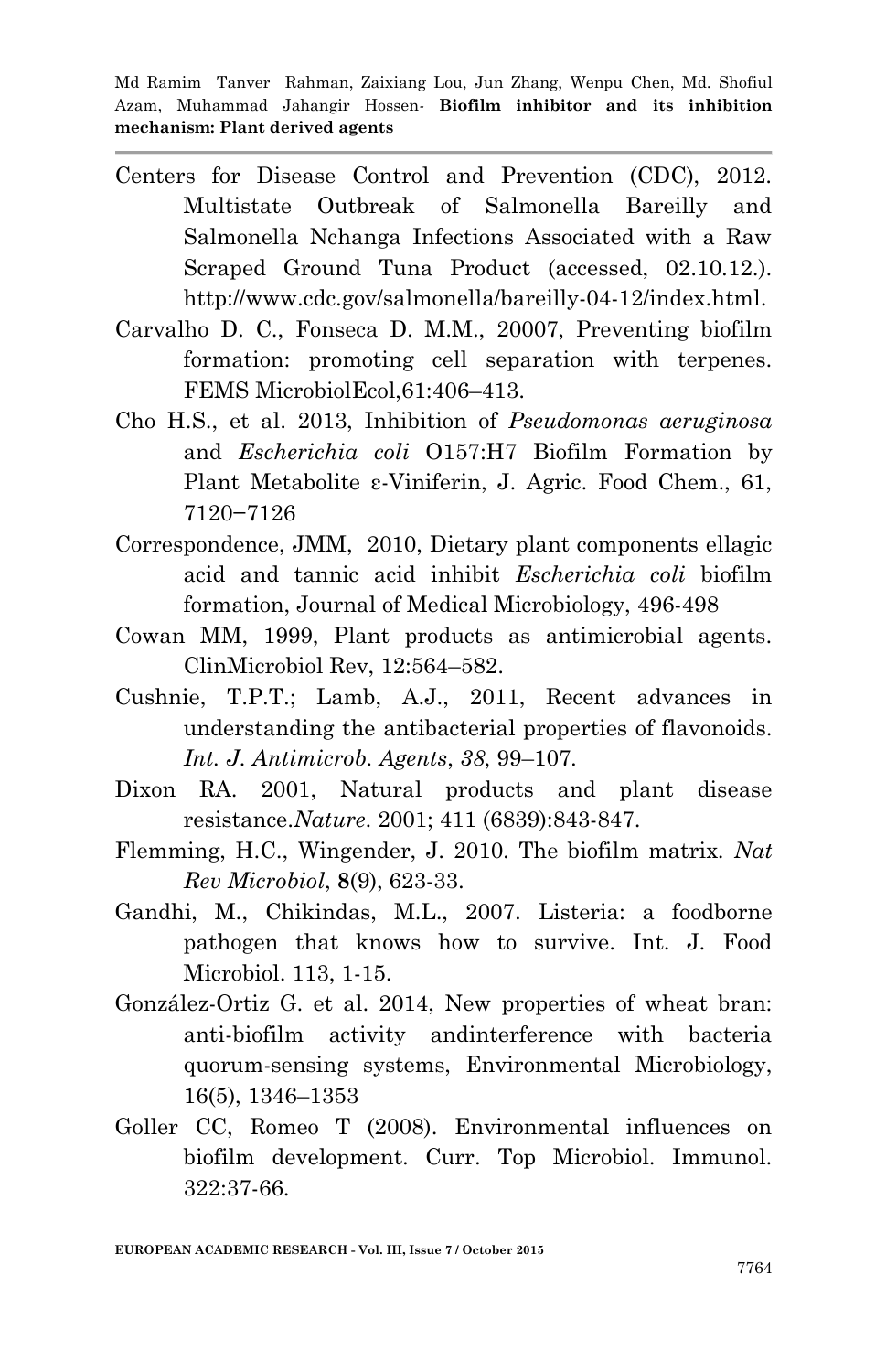- Centers for Disease Control and Prevention (CDC), 2012. Multistate Outbreak of Salmonella Bareilly and Salmonella Nchanga Infections Associated with a Raw Scraped Ground Tuna Product (accessed, 02.10.12.). http://www.cdc.gov/salmonella/bareilly-04-12/index.html.
- Carvalho D. C., Fonseca D. M.M., 20007, Preventing biofilm formation: promoting cell separation with terpenes. FEMS MicrobiolEcol,61:406–413.
- Cho H.S., et al. 2013, Inhibition of *Pseudomonas aeruginosa* and *Escherichia coli* O157:H7 Biofilm Formation by Plant Metabolite ε-Viniferin, J. Agric. Food Chem., 61, 7120−7126
- Correspondence, JMM, 2010, Dietary plant components ellagic acid and tannic acid inhibit *Escherichia coli* biofilm formation, Journal of Medical Microbiology, 496-498
- Cowan MM, 1999, Plant products as antimicrobial agents. ClinMicrobiol Rev, 12:564–582.
- Cushnie, T.P.T.; Lamb, A.J., 2011, Recent advances in understanding the antibacterial properties of flavonoids. *Int. J. Antimicrob. Agents*, *38*, 99–107.
- Dixon RA. 2001, Natural products and plant disease resistance.*Nature*. 2001; 411 (6839):843-847.
- Flemming, H.C., Wingender, J. 2010. The biofilm matrix. *Nat Rev Microbiol*, **8**(9), 623-33.
- Gandhi, M., Chikindas, M.L., 2007. Listeria: a foodborne pathogen that knows how to survive. Int. J. Food Microbiol. 113, 1-15.
- González-Ortiz G. et al. 2014, New properties of wheat bran: anti-biofilm activity andinterference with bacteria quorum-sensing systems, Environmental Microbiology, 16(5), 1346–1353
- Goller CC, Romeo T (2008). Environmental influences on biofilm development. Curr. Top Microbiol. Immunol. 322:37-66.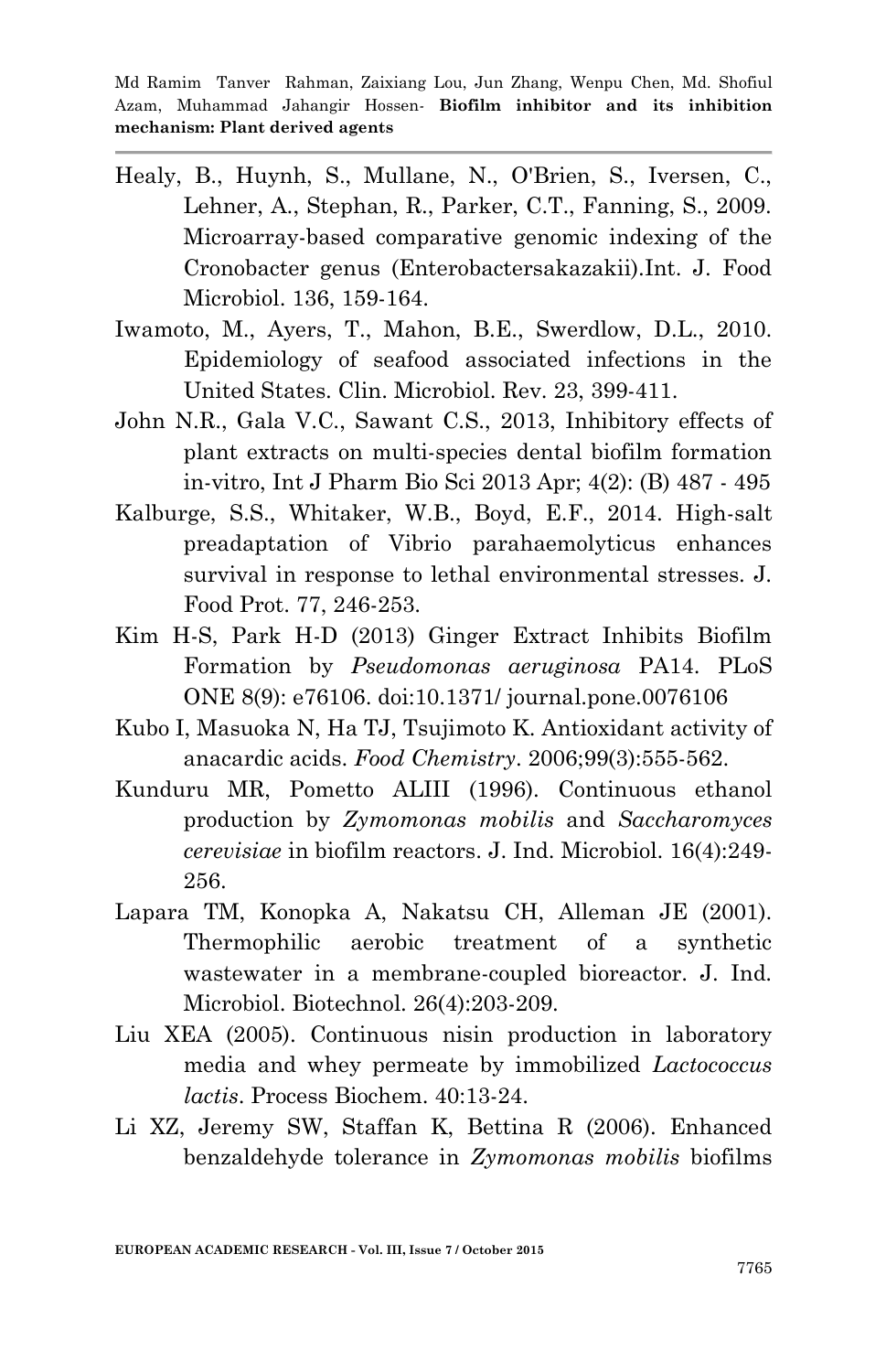- Healy, B., Huynh, S., Mullane, N., O'Brien, S., Iversen, C., Lehner, A., Stephan, R., Parker, C.T., Fanning, S., 2009. Microarray-based comparative genomic indexing of the Cronobacter genus (Enterobactersakazakii).Int. J. Food Microbiol. 136, 159-164.
- Iwamoto, M., Ayers, T., Mahon, B.E., Swerdlow, D.L., 2010. Epidemiology of seafood associated infections in the United States. Clin. Microbiol. Rev. 23, 399-411.
- John N.R., Gala V.C., Sawant C.S., 2013, Inhibitory effects of plant extracts on multi-species dental biofilm formation in-vitro, Int J Pharm Bio Sci 2013 Apr; 4(2): (B) 487 - 495
- Kalburge, S.S., Whitaker, W.B., Boyd, E.F., 2014. High-salt preadaptation of Vibrio parahaemolyticus enhances survival in response to lethal environmental stresses. J. Food Prot. 77, 246-253.
- Kim H-S, Park H-D (2013) Ginger Extract Inhibits Biofilm Formation by *Pseudomonas aeruginosa* PA14. PLoS ONE 8(9): e76106. doi:10.1371/ journal.pone.0076106
- Kubo I, Masuoka N, Ha TJ, Tsujimoto K. Antioxidant activity of anacardic acids. *Food Chemistry*. 2006;99(3):555-562.
- Kunduru MR, Pometto ALIII (1996). Continuous ethanol production by *Zymomonas mobilis* and *Saccharomyces cerevisiae* in biofilm reactors. J. Ind. Microbiol. 16(4):249- 256.
- Lapara TM, Konopka A, Nakatsu CH, Alleman JE (2001). Thermophilic aerobic treatment of a synthetic wastewater in a membrane-coupled bioreactor. J. Ind. Microbiol. Biotechnol. 26(4):203-209.
- Liu XEA (2005). Continuous nisin production in laboratory media and whey permeate by immobilized *Lactococcus lactis*. Process Biochem. 40:13-24.
- Li XZ, Jeremy SW, Staffan K, Bettina R (2006). Enhanced benzaldehyde tolerance in *Zymomonas mobilis* biofilms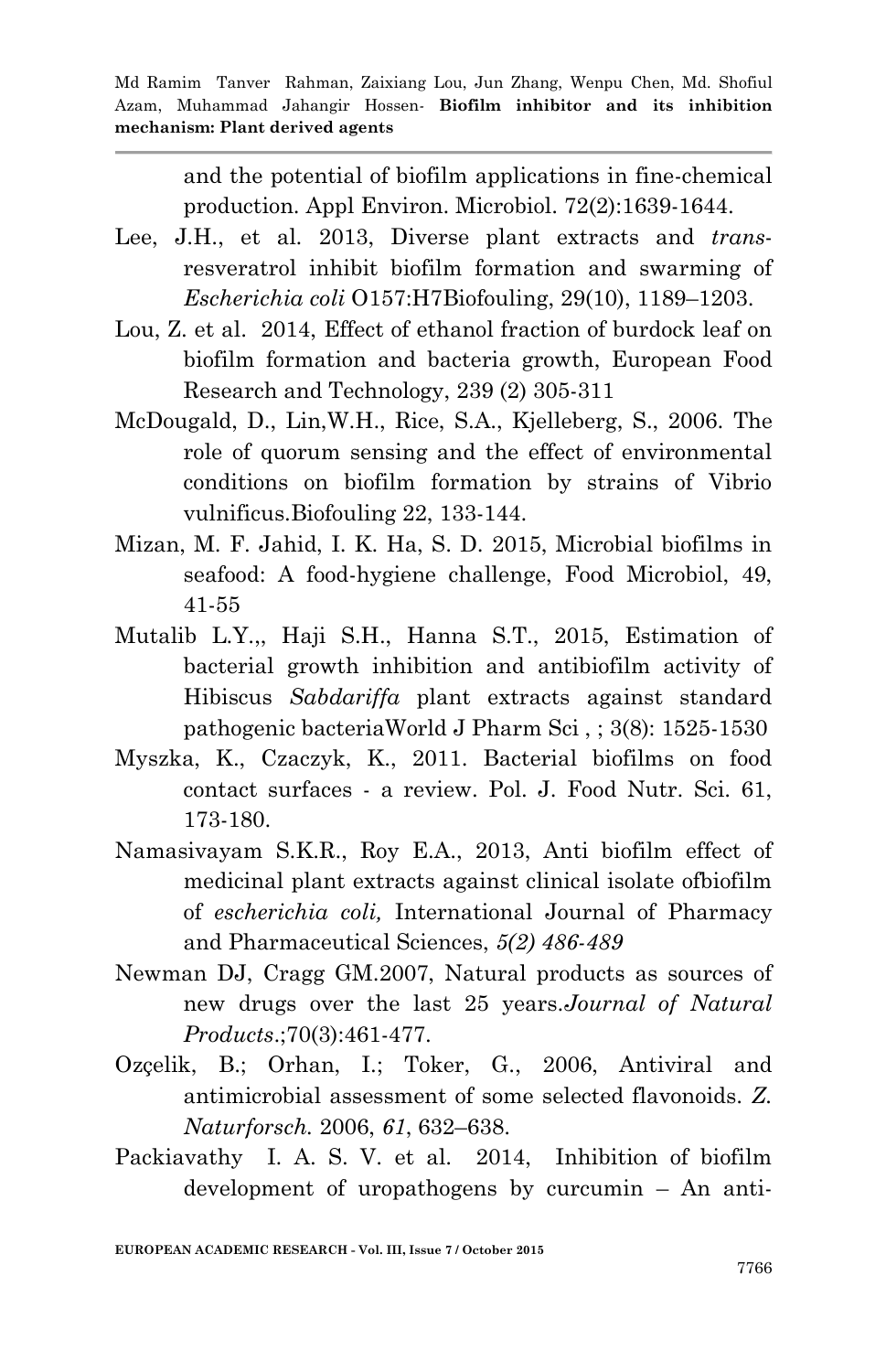and the potential of biofilm applications in fine-chemical production. Appl Environ. Microbiol. 72(2):1639-1644.

- Lee, J.H., et al. 2013, Diverse plant extracts and *trans*resveratrol inhibit biofilm formation and swarming of *Escherichia coli* O157:H7Biofouling, 29(10), 1189–1203.
- Lou, Z. et al. 2014, Effect of ethanol fraction of burdock leaf on biofilm formation and bacteria growth, European Food Research and Technology, 239 (2) 305-311
- McDougald, D., Lin,W.H., Rice, S.A., Kjelleberg, S., 2006. The role of quorum sensing and the effect of environmental conditions on biofilm formation by strains of Vibrio vulnificus.Biofouling 22, 133-144.
- Mizan, M. F. Jahid, I. K. Ha, S. D. 2015, Microbial biofilms in seafood: A food-hygiene challenge, Food Microbiol, 49, 41-55
- Mutalib L.Y.,, Haji S.H., Hanna S.T., 2015, Estimation of bacterial growth inhibition and antibiofilm activity of Hibiscus *Sabdariffa* plant extracts against standard pathogenic bacteriaWorld J Pharm Sci , ; 3(8): 1525-1530
- Myszka, K., Czaczyk, K., 2011. Bacterial biofilms on food contact surfaces - a review. Pol. J. Food Nutr. Sci. 61, 173-180.
- Namasivayam S.K.R., Roy E.A., 2013, Anti biofilm effect of medicinal plant extracts against clinical isolate ofbiofilm of *escherichia coli,* International Journal of Pharmacy and Pharmaceutical Sciences, *5(2) 486-489*
- Newman DJ, Cragg GM.2007, Natural products as sources of new drugs over the last 25 years.*Journal of Natural Products*.;70(3):461-477.
- Ozçelik, B.; Orhan, I.; Toker, G., 2006, Antiviral and antimicrobial assessment of some selected flavonoids. *Z. Naturforsch.* 2006, *61*, 632–638.
- Packiavathy I. A. S. V. et al. 2014, Inhibition of biofilm development of uropathogens by curcumin – An anti-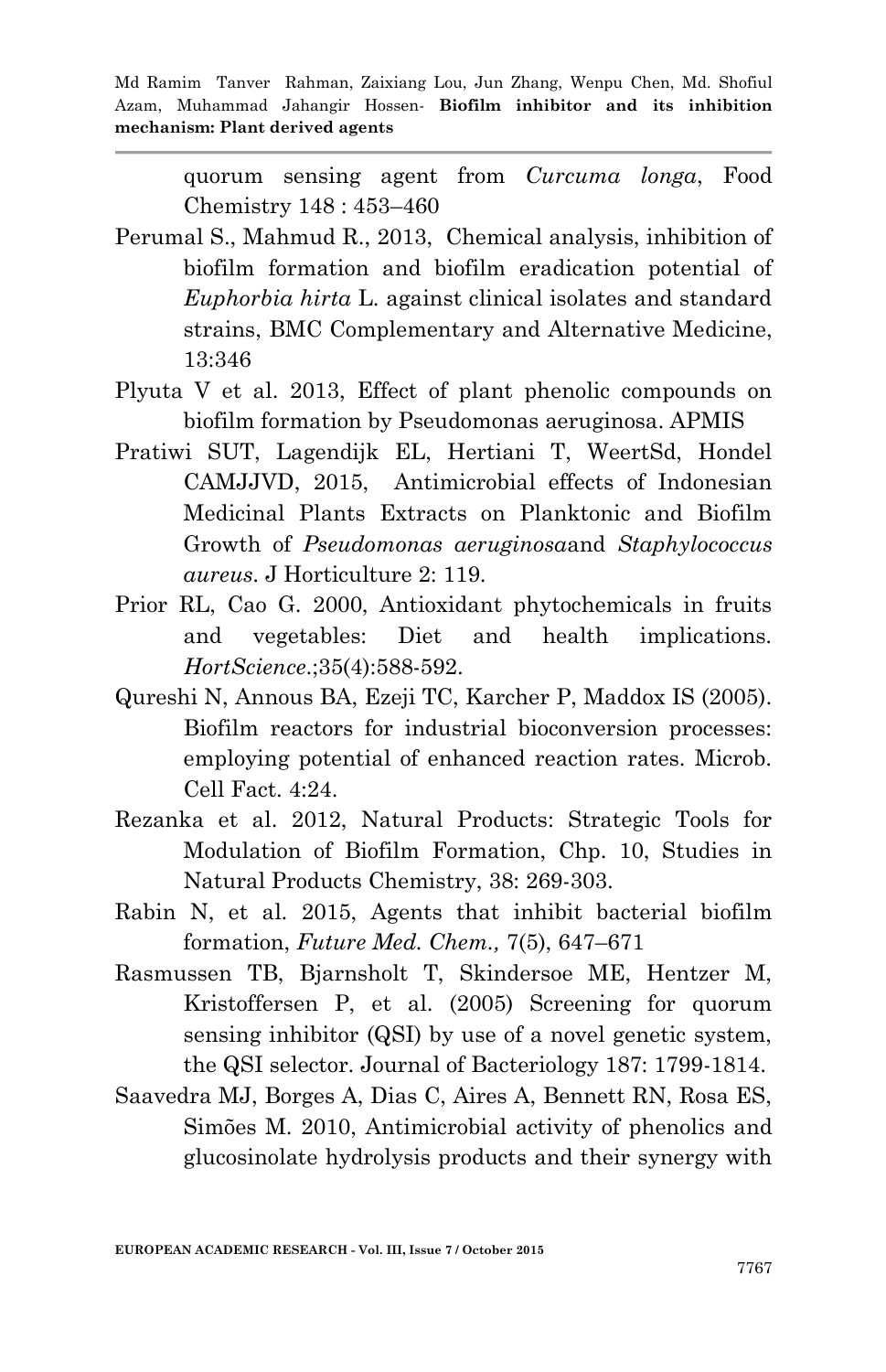quorum sensing agent from *Curcuma longa*, Food Chemistry 148 : 453–460

- Perumal S., Mahmud R., 2013, Chemical analysis, inhibition of biofilm formation and biofilm eradication potential of *Euphorbia hirta* L. against clinical isolates and standard strains, BMC Complementary and Alternative Medicine, 13:346
- Plyuta V et al. 2013, Effect of plant phenolic compounds on biofilm formation by Pseudomonas aeruginosa. APMIS
- Pratiwi SUT, Lagendijk EL, Hertiani T, WeertSd, Hondel CAMJJVD, 2015, Antimicrobial effects of Indonesian Medicinal Plants Extracts on Planktonic and Biofilm Growth of *Pseudomonas aeruginosa*and *Staphylococcus aureus*. J Horticulture 2: 119.
- Prior RL, Cao G. 2000, Antioxidant phytochemicals in fruits and vegetables: Diet and health implications. *HortScience*.;35(4):588-592.
- Qureshi N, Annous BA, Ezeji TC, Karcher P, Maddox IS (2005). Biofilm reactors for industrial bioconversion processes: employing potential of enhanced reaction rates. Microb. Cell Fact. 4:24.
- Rezanka et al. 2012, Natural Products: Strategic Tools for Modulation of Biofilm Formation, Chp. 10, Studies in Natural Products Chemistry, 38: 269-303.
- Rabin N, et al. 2015, Agents that inhibit bacterial biofilm formation, *Future Med. Chem.,* 7(5), 647–671
- Rasmussen TB, Bjarnsholt T, Skindersoe ME, Hentzer M, Kristoffersen P, et al. (2005) Screening for quorum sensing inhibitor (QSI) by use of a novel genetic system, the QSI selector. Journal of Bacteriology 187: 1799-1814.
- Saavedra MJ, Borges A, Dias C, Aires A, Bennett RN, Rosa ES, Simões M. 2010, Antimicrobial activity of phenolics and glucosinolate hydrolysis products and their synergy with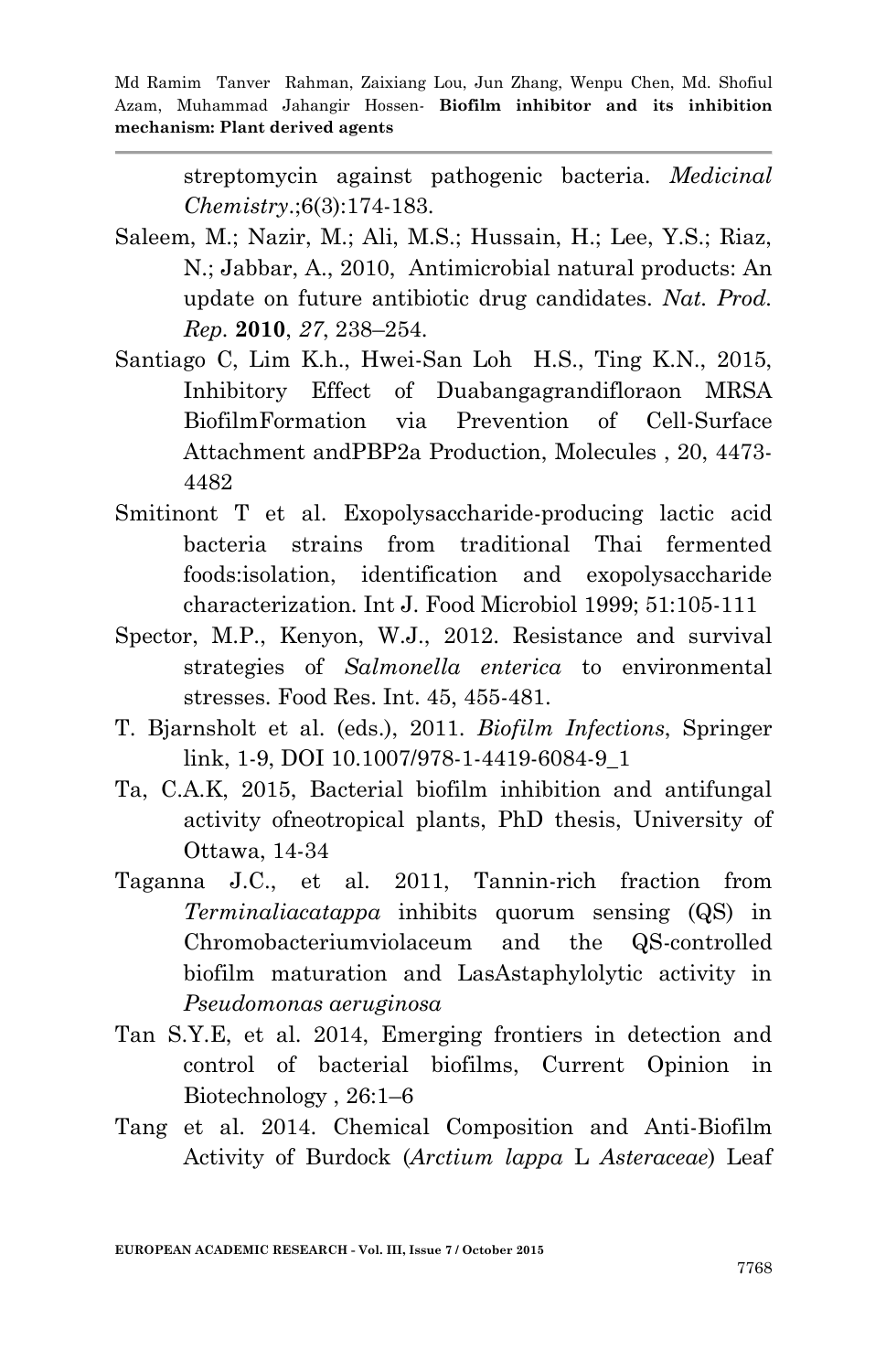streptomycin against pathogenic bacteria. *Medicinal Chemistry*.;6(3):174-183.

- Saleem, M.; Nazir, M.; Ali, M.S.; Hussain, H.; Lee, Y.S.; Riaz, N.; Jabbar, A., 2010, Antimicrobial natural products: An update on future antibiotic drug candidates. *Nat. Prod. Rep.* **2010**, *27*, 238–254.
- Santiago C, Lim K.h., Hwei-San Loh H.S., Ting K.N., 2015, Inhibitory Effect of Duabangagrandifloraon MRSA BiofilmFormation via Prevention of Cell-Surface Attachment andPBP2a Production, Molecules , 20, 4473- 4482
- Smitinont T et al. Exopolysaccharide-producing lactic acid bacteria strains from traditional Thai fermented foods:isolation, identification and exopolysaccharide characterization. Int J. Food Microbiol 1999; 51:105-111
- Spector, M.P., Kenyon, W.J., 2012. Resistance and survival strategies of *Salmonella enterica* to environmental stresses. Food Res. Int. 45, 455-481.
- T. Bjarnsholt et al. (eds.), 2011. *Biofilm Infections*, Springer link, 1-9, DOI 10.1007/978-1-4419-6084-9\_1
- Ta, C.A.K, 2015, Bacterial biofilm inhibition and antifungal activity ofneotropical plants, PhD thesis, University of Ottawa, 14-34
- Taganna J.C., et al. 2011, Tannin-rich fraction from *Terminaliacatappa* inhibits quorum sensing (QS) in Chromobacteriumviolaceum and the QS-controlled biofilm maturation and LasAstaphylolytic activity in *Pseudomonas aeruginosa*
- Tan S.Y.E, et al. 2014, Emerging frontiers in detection and control of bacterial biofilms, Current Opinion in Biotechnology , 26:1–6
- Tang et al. 2014. Chemical Composition and Anti-Biofilm Activity of Burdock (*Arctium lappa* L *Asteraceae*) Leaf